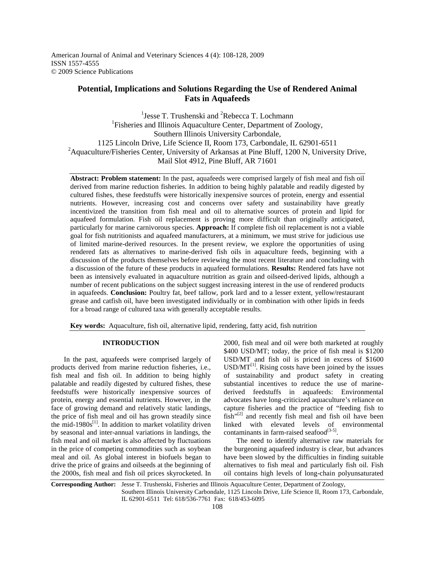American Journal of Animal and Veterinary Sciences 4 (4): 108-128, 2009 ISSN 1557-4555 © 2009 Science Publications

# **Potential, Implications and Solutions Regarding the Use of Rendered Animal Fats in Aquafeeds**

<sup>1</sup> Jesse T. Trushenski and <sup>2</sup> Rebecca T. Lochmann <sup>1</sup>Fisheries and Illinois Aquaculture Center, Department of Zoology, Southern Illinois University Carbondale, 1125 Lincoln Drive, Life Science II, Room 173, Carbondale, IL 62901-6511 <sup>2</sup> Aquaculture/Fisheries Center, University of Arkansas at Pine Bluff, 1200 N, University Drive, Mail Slot 4912, Pine Bluff, AR 71601

**Abstract: Problem statement:** In the past, aquafeeds were comprised largely of fish meal and fish oil derived from marine reduction fisheries. In addition to being highly palatable and readily digested by cultured fishes, these feedstuffs were historically inexpensive sources of protein, energy and essential nutrients. However, increasing cost and concerns over safety and sustainability have greatly incentivized the transition from fish meal and oil to alternative sources of protein and lipid for aquafeed formulation. Fish oil replacement is proving more difficult than originally anticipated, particularly for marine carnivorous species. **Approach:** If complete fish oil replacement is not a viable goal for fish nutritionists and aquafeed manufacturers, at a minimum, we must strive for judicious use of limited marine-derived resources. In the present review, we explore the opportunities of using rendered fats as alternatives to marine-derived fish oils in aquaculture feeds, beginning with a discussion of the products themselves before reviewing the most recent literature and concluding with a discussion of the future of these products in aquafeed formulations. **Results:** Rendered fats have not been as intensively evaluated in aquaculture nutrition as grain and oilseed-derived lipids, although a number of recent publications on the subject suggest increasing interest in the use of rendered products in aquafeeds. **Conclusion:** Poultry fat, beef tallow, pork lard and to a lesser extent, yellow/restaurant grease and catfish oil, have been investigated individually or in combination with other lipids in feeds for a broad range of cultured taxa with generally acceptable results.

**Key words:** Aquaculture, fish oil, alternative lipid, rendering, fatty acid, fish nutrition

#### **INTRODUCTION**

 In the past, aquafeeds were comprised largely of products derived from marine reduction fisheries, i.e., fish meal and fish oil. In addition to being highly palatable and readily digested by cultured fishes, these feedstuffs were historically inexpensive sources of protein, energy and essential nutrients. However, in the face of growing demand and relatively static landings, the price of fish meal and oil has grown steadily since the mid-1980s $^{[1]}$ . In addition to market volatility driven by seasonal and inter-annual variations in landings, the fish meal and oil market is also affected by fluctuations in the price of competing commodities such as soybean meal and oil. As global interest in biofuels began to drive the price of grains and oilseeds at the beginning of the 2000s, fish meal and fish oil prices skyrocketed. In

2000, fish meal and oil were both marketed at roughly \$400 USD/MT; today, the price of fish meal is \$1200 USD/MT and fish oil is priced in excess of \$1600  $USD/MT<sup>[1]</sup>$ . Rising costs have been joined by the issues of sustainability and product safety in creating substantial incentives to reduce the use of marinederived feedstuffs in aquafeeds: Environmental advocates have long-criticized aquaculture's reliance on capture fisheries and the practice of "feeding fish to  $fish''^{[2]}$  and recently fish meal and fish oil have been linked with elevated levels of environmental contaminants in farm-raised seafood $^{[3-5]}$ .

 The need to identify alternative raw materials for the burgeoning aquafeed industry is clear, but advances have been slowed by the difficulties in finding suitable alternatives to fish meal and particularly fish oil. Fish oil contains high levels of long-chain polyunsaturated

**Corresponding Author:** Jesse T. Trushenski, Fisheries and Illinois Aquaculture Center, Department of Zoology, Southern Illinois University Carbondale, 1125 Lincoln Drive, Life Science II, Room 173, Carbondale, IL 62901-6511 Tel: 618/536-7761 Fax: 618/453-6095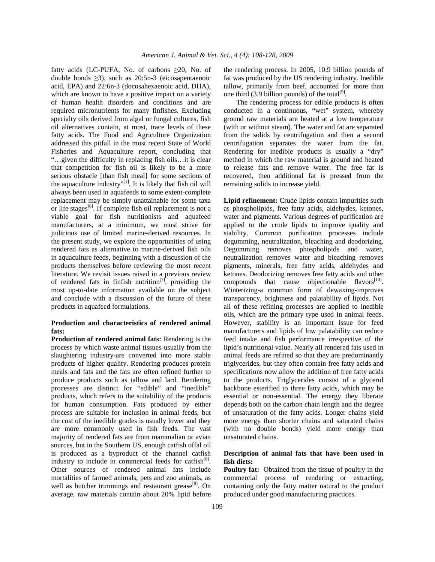fatty acids (LC-PUFA, No. of carbons ≥20, No. of double bonds ≥3), such as 20:5n-3 (eicosapentaenoic acid, EPA) and 22:6n-3 (docosahexaenoic acid, DHA), which are known to have a positive impact on a variety of human health disorders and conditions and are required micronutrients for many finfishes. Excluding specialty oils derived from algal or fungal cultures, fish oil alternatives contain, at most, trace levels of these fatty acids. The Food and Agriculture Organization addressed this pitfall in the most recent State of World Fisheries and Aquaculture report, concluding that "…given the difficulty in replacing fish oils…it is clear that competition for fish oil is likely to be a more serious obstacle [than fish meal] for some sections of the aquaculture industry $^{\prime\prime(1)}$ . It is likely that fish oil will always been used in aquafeeds to some extent-complete replacement may be simply unattainable for some taxa or life stages<sup>[6]</sup>. If complete fish oil replacement is not a viable goal for fish nutritionists and aquafeed manufacturers, at a minimum, we must strive for judicious use of limited marine-derived resources. In the present study, we explore the opportunities of using rendered fats as alternative to marine-derived fish oils in aquaculture feeds, beginning with a discussion of the products themselves before reviewing the most recent literature. We revisit issues raised in a previous review of rendered fats in finfish nutrition<sup>[7]</sup>, providing the most up-to-date information available on the subject and conclude with a discussion of the future of these products in aquafeed formulations.

### **Production and characteristics of rendered animal fats:**

**Production of rendered animal fats:** Rendering is the process by which waste animal tissues-usually from the slaughtering industry-are converted into more stable products of higher quality. Rendering produces protein meals and fats and the fats are often refined further to produce products such as tallow and lard. Rendering processes are distinct for "edible" and "inedible" products, which refers to the suitability of the products for human consumption. Fats produced by either process are suitable for inclusion in animal feeds, but the cost of the inedible grades is usually lower and they are more commonly used in fish feeds. The vast majority of rendered fats are from mammalian or avian sources, but in the Southern US, enough catfish offal oil is produced as a byproduct of the channel catfish industry to include in commercial feeds for catfish $[8]$ . Other sources of rendered animal fats include mortalities of farmed animals, pets and zoo animals, as well as butcher trimmings and restaurant grease $[9]$ . On average, raw materials contain about 20% lipid before

the rendering process. In 2005, 10.9 billion pounds of fat was produced by the US rendering industry. Inedible tallow, primarily from beef, accounted for more than one third  $(3.9 \text{ billion pounds})$  of the total<sup>[9]</sup>.

 The rendering process for edible products is often conducted in a continuous, "wet" system, whereby ground raw materials are heated at a low temperature (with or without steam). The water and fat are separated from the solids by centrifugation and then a second centrifugation separates the water from the fat. Rendering for inedible products is usually a "dry" method in which the raw material is ground and heated to release fats and remove water. The free fat is recovered, then additional fat is pressed from the remaining solids to increase yield.

Lipid refinement: Crude lipids contain impurities such as phospholipids, free fatty acids, aldehydes, ketones, water and pigments. Various degrees of purification are applied to the crude lipids to improve quality and stability. Common purification processes include degumming, neutralization, bleaching and deodorizing. Degumming removes phospholipids and water, neutralization removes water and bleaching removes pigments, minerals, free fatty acids, aldehydes and ketones. Deodorizing removes free fatty acids and other compounds that cause objectionable flavors $[10]$ . Winterizing-a common form of dewaxing-improves transparency, brightness and palatability of lipids. Not all of these refining processes are applied to inedible oils, which are the primary type used in animal feeds. However, stability is an important issue for feed manufacturers and lipids of low palatability can reduce feed intake and fish performance irrespective of the lipid's nutritional value. Nearly all rendered fats used in animal feeds are refined so that they are predominantly triglycerides, but they often contain free fatty acids and specifications now allow the addition of free fatty acids to the products. Triglycerides consist of a glycerol backbone esterified to three fatty acids, which may be essential or non-essential. The energy they liberate depends both on the carbon chain length and the degree of unsaturation of the fatty acids. Longer chains yield more energy than shorter chains and saturated chains (with no double bonds) yield more energy than unsaturated chains.

## **Description of animal fats that have been used in fish diets:**

**Poultry fat:** Obtained from the tissue of poultry in the commercial process of rendering or extracting, containing only the fatty matter natural to the product produced under good manufacturing practices.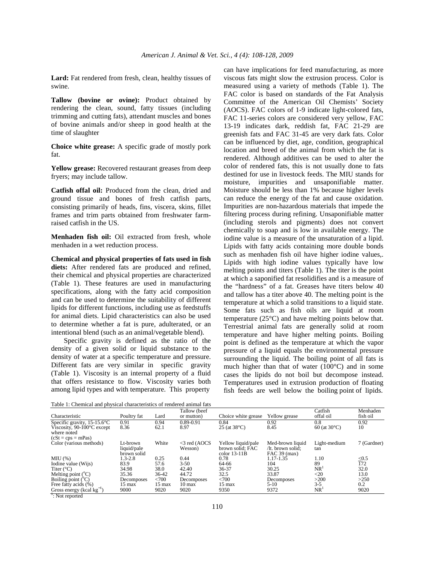**Lard:** Fat rendered from fresh, clean, healthy tissues of swine.

**Tallow (bovine or ovine):** Product obtained by rendering the clean, sound, fatty tissues (including trimming and cutting fats), attendant muscles and bones of bovine animals and/or sheep in good health at the time of slaughter

**Choice white grease:** A specific grade of mostly pork fat.

**Yellow grease:** Recovered restaurant greases from deep fryers; may include tallow.

**Catfish offal oil:** Produced from the clean, dried and ground tissue and bones of fresh catfish parts, consisting primarily of heads, fins, viscera, skins, fillet frames and trim parts obtained from freshwater farmraised catfish in the US.

**Menhaden fish oil:** Oil extracted from fresh, whole menhaden in a wet reduction process.

**Chemical and physical properties of fats used in fish diets:** After rendered fats are produced and refined, their chemical and physical properties are characterized (Table 1). These features are used in manufacturing specifications, along with the fatty acid composition and can be used to determine the suitability of different lipids for different functions, including use as feedstuffs for animal diets. Lipid characteristics can also be used to determine whether a fat is pure, adulterated, or an intentional blend (such as an animal/vegetable blend).

Specific gravity is defined as the ratio of the density of a given solid or liquid substance to the density of water at a specific temperature and pressure. Different fats are very similar in specific gravity (Table 1). Viscosity is an internal property of a fluid that offers resistance to flow. Viscosity varies both among lipid types and with temperature. This property

can have implications for feed manufacturing, as more viscous fats might slow the extrusion process. Color is measured using a variety of methods (Table 1). The FAC color is based on standards of the Fat Analysis Committee of the American Oil Chemists' Society (AOCS). FAC colors of 1-9 indicate light-colored fats, FAC 11-series colors are considered very yellow, FAC 13-19 indicates dark, reddish fat, FAC 21-29 are greenish fats and FAC 31-45 are very dark fats. Color can be influenced by diet, age, condition, geographical location and breed of the animal from which the fat is rendered. Although additives can be used to alter the color of rendered fats, this is not usually done to fats destined for use in livestock feeds. The MIU stands for moisture, impurities and unsaponifiable matter. Moisture should be less than 1% because higher levels can reduce the energy of the fat and cause oxidation. Impurities are non-hazardous materials that impede the filtering process during refining. Unsaponifiable matter (including sterols and pigments) does not convert chemically to soap and is low in available energy. The iodine value is a measure of the unsaturation of a lipid. Lipids with fatty acids containing more double bonds such as menhaden fish oil have higher iodine values,. Lipids with high iodine values typically have low melting points and titers (Table 1). The titer is the point at which a saponified fat resolidifies and is a measure of the "hardness" of a fat. Greases have titers below 40 and tallow has a titer above 40. The melting point is the temperature at which a solid transitions to a liquid state. Some fats such as fish oils are liquid at room temperature (25°C) and have melting points below that. Terrestrial animal fats are generally solid at room temperature and have higher melting points. Boiling point is defined as the temperature at which the vapor pressure of a liquid equals the environmental pressure surrounding the liquid. The boiling point of all fats is much higher than that of water (100°C) and in some cases the lipids do not boil but decompose instead. Temperatures used in extrusion production of floating fish feeds are well below the boiling point of lipids.

Table 1: Chemical and physical characteristics of rendered animal fats

| Characteristic                                                                                   | Poultry fat                            | Lard   | Tallow (beef<br>or mutton) | Choice white grease                                      | Yellow grease                                         | Catfish<br>offal oil   | Menhaden<br>fish oil |
|--------------------------------------------------------------------------------------------------|----------------------------------------|--------|----------------------------|----------------------------------------------------------|-------------------------------------------------------|------------------------|----------------------|
| Specific gravity, $15-15.6$ °C                                                                   | 0.91                                   | 0.94   | $0.89 - 0.91$              | 0.84                                                     | 0.92                                                  | 0.8                    | 0.92                 |
| Viscosity, $90-100^{\circ}$ C except<br>where noted<br>$(cSt = cps = mPas)$                      | 8.36                                   | 62.1   | 8.97                       | $25$ (at $38^{\circ}$ C)                                 | 8.45                                                  | 60 (at $30^{\circ}$ C) | 10                   |
| Color (various methods)                                                                          | Lt-brown<br>liquid/pale<br>brown solid | White  | $<$ 3 red (AOCS<br>Wesson) | Yellow liquid/pale<br>brown solid; FAC<br>$color 13-11B$ | Med-brown liquid<br>/lt. brown solid:<br>FAC 39 (max) | Light-medium<br>tan    | 7 (Gardner)          |
| MIU(%)                                                                                           | $1.3 - 2.8$                            | 0.25   | 0.44                       | 0.78                                                     | $1.17 - 1.35$                                         | 1.10                   | ≤ $0.5$              |
| Iodine value (Wijs)                                                                              | 83.9                                   | 57.6   | $3 - 50$                   | 64-66                                                    | 104                                                   | 89                     | 172                  |
| Titer $(^{\circ}C)$                                                                              | 34.98                                  | 38.0   | 42.40                      | 36-37                                                    | 30.25                                                 | NR <sup>1</sup>        | 32.0                 |
| Melting point $(^{\circ}C)$                                                                      | 35.36                                  | 36-42  | 44.72                      | 32.5                                                     | 33.87                                                 | $<$ 20                 | 13.0                 |
| Boiling point $(^{\circ}C)$                                                                      | Decomposes                             | <700   | Decomposes                 | <700                                                     | Decomposes                                            | >200                   | >250                 |
| Free fatty acids (%)                                                                             | $15 \text{ max}$                       | 15 max | 10 <sub>max</sub>          | $15 \text{ max}$                                         | $5-10$                                                | $3 - 5$                | 0.2                  |
| Gross energy (kcal $kg^{-1}$ )<br>$\overline{\phantom{a}}$<br>$\sim$ $\sim$ $\sim$ $\sim$ $\sim$ | 9000                                   | 9020   | 9020                       | 9350                                                     | 9372                                                  | NR <sup>1</sup>        | 9020                 |

<sup>1</sup>: Not reported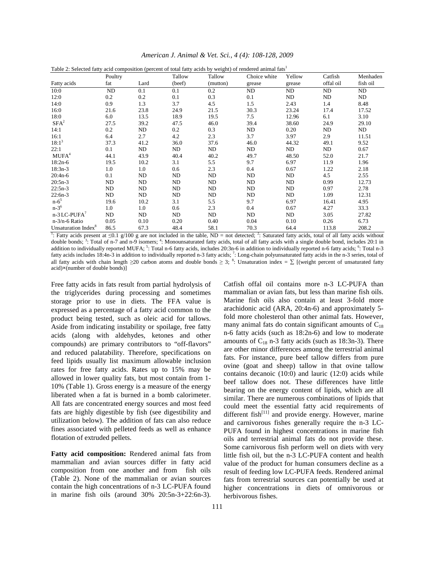| Table 2: Selected fatty acid composition (percent of total fatty acids by weight) of rendered animal fats <sup>1</sup> |         |         |        |          |              |        |           |          |
|------------------------------------------------------------------------------------------------------------------------|---------|---------|--------|----------|--------------|--------|-----------|----------|
|                                                                                                                        | Poultry |         | Tallow | Tallow   | Choice white | Yellow | Catfish   | Menhaden |
| Fatty acids                                                                                                            | fat     | Lard    | (beef) | (mutton) | grease       | grease | offal oil | fish oil |
| 10:0                                                                                                                   | ND      | 0.1     | 0.1    | 0.2      | ND           | ND     | ND        | ND       |
| 12:0                                                                                                                   | 0.2     | 0.2     | 0.1    | 0.3      | 0.1          | ND     | ND        | ND       |
| 14:0                                                                                                                   | 0.9     | 1.3     | 3.7    | 4.5      | 1.5          | 2.43   | 1.4       | 8.48     |
| 16:0                                                                                                                   | 21.6    | 23.8    | 24.9   | 21.5     | 30.3         | 23.24  | 17.4      | 17.52    |
| 18:0                                                                                                                   | 6.0     | 13.5    | 18.9   | 19.5     | 7.5          | 12.96  | 6.1       | 3.10     |
| $SFA^2$                                                                                                                | 27.5    | 39.2    | 47.5   | 46.0     | 39.4         | 38.60  | 24.9      | 29.10    |
| 14:1                                                                                                                   | 0.2     | ND      | 0.2    | 0.3      | ND           | 0.20   | ND        | ND       |
| 16:1                                                                                                                   | 6.4     | 2.7     | 4.2    | 2.3      | 3.7          | 3.97   | 2.9       | 11.51    |
| $18:1^3$                                                                                                               | 37.3    | 41.2    | 36.0   | 37.6     | 46.0         | 44.32  | 49.1      | 9.52     |
| 22:1                                                                                                                   | 0.1     | ND      | ND     | ND       | ND           | ND     | ND        | 0.67     |
| MUFA <sup>4</sup>                                                                                                      | 44.1    | 43.9    | 40.4   | 40.2     | 49.7         | 48.50  | 52.0      | 21.7     |
| $18:2n-6$                                                                                                              | 19.5    | 10.2    | 3.1    | 5.5      | 9.7          | 6.97   | 11.9      | 1.96     |
| $18:3n-3$                                                                                                              | 1.0     | 1.0     | 0.6    | 2.3      | 0.4          | 0.67   | 1.22      | 2.18     |
| $20:4n-6$                                                                                                              | 0.1     | ND      | ND     | ND       | ND           | ND     | 4.5       | 2.55     |
| $20:5n-3$                                                                                                              | ND      | ND      | ND     | ND       | ND           | ND     | 0.99      | 12.73    |
| $22:5n-3$                                                                                                              | ND.     | ND      | ND     | ND.      | ND           | ND     | 0.97      | 2.78     |
| $22:6n-3$                                                                                                              | ND      | ND      | ND     | ND       | ND           | ND     | 1.09      | 12.31    |
| $n-65$                                                                                                                 | 19.6    | 10.2    | 3.1    | 5.5      | 9.7          | 6.97   | 16.41     | 4.95     |
| $n - 3^6$                                                                                                              | 1.0     | $1.0\,$ | 0.6    | 2.3      | 0.4          | 0.67   | 4.27      | 33.3     |
| $n-3 LC-PUFA7$                                                                                                         | ND      | ND      | ND     | ND       | ND           | ND     | 3.05      | 27.82    |
| $n-3/n-6$ Ratio                                                                                                        | 0.05    | 0.10    | 0.20   | 0.40     | 0.04         | 0.10   | 0.26      | 6.73     |
| Unsaturation Index <sup>8</sup>                                                                                        | 86.5    | 67.3    | 48.4   | 58.1     | 70.3         | 64.4   | 113.8     | 208.2    |

*American J. Animal & Vet. Sci., 4 (4): 108-128, 2009* 

<sup>1</sup>: Fatty acids present at  $\leq 0.1$  g/100 g are not included in the table, ND = not detected; <sup>2</sup>: Saturated fatty acids, total of all fatty acids without double bonds; <sup>3</sup>: Total of n-7 and n-9 isomers; <sup>4</sup>: Monounsaturated fatty acids, total of all fatty acids with a single double bond, includes 20:1 in addition to individually reported MUFA; <sup>5</sup>: Total n-6 fatty acids, includes 20:3n-6 in addition to individually reported n-6 fatty acids; <sup>6</sup>: Total n-3 fatty acids includes 18:4n-3 in addition to individually reported n-3 fatty acids; <sup>7</sup>: Long-chain polyunsaturated fatty acids in the n-3 series, total of all fatty acids with chain length ≥20 carbon atoms and double bonds ≥ 3; <sup>8</sup>: Unsaturation index = ∑ [(weight percent of unsaturated fatty acid)×(number of double bonds)]

Free fatty acids in fats result from partial hydrolysis of the triglycerides during processing and sometimes storage prior to use in diets. The FFA value is expressed as a percentage of a fatty acid common to the product being tested, such as oleic acid for tallows. Aside from indicating instability or spoilage, free fatty acids (along with aldehydes, ketones and other compounds) are primary contributors to "off-flavors" and reduced palatability. Therefore, specifications on feed lipids usually list maximum allowable inclusion rates for free fatty acids. Rates up to 15% may be allowed in lower quality fats, but most contain from 1- 10% (Table 1). Gross energy is a measure of the energy liberated when a fat is burned in a bomb calorimeter. All fats are concentrated energy sources and most feed fats are highly digestible by fish (see digestibility and utilization below). The addition of fats can also reduce fines associated with pelleted feeds as well as enhance flotation of extruded pellets.

**Fatty acid composition:** Rendered animal fats from mammalian and avian sources differ in fatty acid composition from one another and from fish oils (Table 2). None of the mammalian or avian sources contain the high concentrations of n-3 LC-PUFA found in marine fish oils (around 30% 20:5n-3+22:6n-3). Catfish offal oil contains more n-3 LC-PUFA than mammalian or avian fats, but less than marine fish oils. Marine fish oils also contain at least 3-fold more arachidonic acid (ARA, 20:4n-6) and approximately 5 fold more cholesterol than other animal fats. However, many animal fats do contain significant amounts of  $C_{18}$ n-6 fatty acids (such as 18:2n-6) and low to moderate amounts of  $C_{18}$  n-3 fatty acids (such as 18:3n-3). There are other minor differences among the terrestrial animal fats. For instance, pure beef tallow differs from pure ovine (goat and sheep) tallow in that ovine tallow contains decanoic (10:0) and lauric (12:0) acids while beef tallow does not. These differences have little bearing on the energy content of lipids, which are all similar. There are numerous combinations of lipids that could meet the essential fatty acid requirements of different  $fish<sup>[11]</sup>$  and provide energy. However, marine and carnivorous fishes generally require the n-3 LC-PUFA found in highest concentrations in marine fish oils and terrestrial animal fats do not provide these. Some carnivorous fish perform well on diets with very little fish oil, but the n-3 LC-PUFA content and health value of the product for human consumers decline as a result of feeding low LC-PUFA feeds. Rendered animal fats from terrestrial sources can potentially be used at higher concentrations in diets of omnivorous or herbivorous fishes.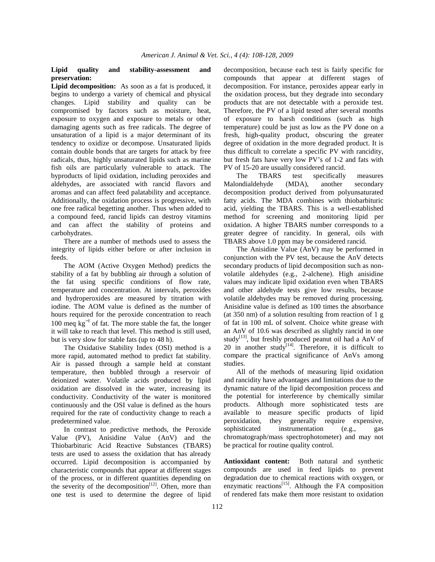### **Lipid quality and stability-assessment and preservation:**

**Lipid decomposition:** As soon as a fat is produced, it begins to undergo a variety of chemical and physical changes. Lipid stability and quality can be compromised by factors such as moisture, heat, exposure to oxygen and exposure to metals or other damaging agents such as free radicals. The degree of unsaturation of a lipid is a major determinant of its tendency to oxidize or decompose. Unsaturated lipids contain double bonds that are targets for attack by free radicals, thus, highly unsaturated lipids such as marine fish oils are particularly vulnerable to attack. The byproducts of lipid oxidation, including peroxides and aldehydes, are associated with rancid flavors and aromas and can affect feed palatability and acceptance. Additionally, the oxidation process is progressive, with one free radical begetting another. Thus when added to a compound feed, rancid lipids can destroy vitamins and can affect the stability of proteins and carbohydrates.

 There are a number of methods used to assess the integrity of lipids either before or after inclusion in feeds.

 The AOM (Active Oxygen Method) predicts the stability of a fat by bubbling air through a solution of the fat using specific conditions of flow rate, temperature and concentration. At intervals, peroxides and hydroperoxides are measured by titration with iodine. The AOM value is defined as the number of hours required for the peroxide concentration to reach 100 meq kg<sup>−</sup><sup>1</sup> of fat. The more stable the fat, the longer it will take to reach that level. This method is still used, but is very slow for stable fats (up to 48 h).

 The Oxidative Stability Index (OSI) method is a more rapid, automated method to predict fat stability. Air is passed through a sample held at constant temperature, then bubbled through a reservoir of deionized water. Volatile acids produced by lipid oxidation are dissolved in the water, increasing its conductivity. Conductivity of the water is monitored continuously and the OSI value is defined as the hours required for the rate of conductivity change to reach a predetermined value.

 In contrast to predictive methods, the Peroxide Value (PV), Anisidine Value (AnV) and the Thiobarbituric Acid Reactive Substances (TBARS) tests are used to assess the oxidation that has already occurred. Lipid decomposition is accompanied by characteristic compounds that appear at different stages of the process, or in different quantities depending on the severity of the decomposition<sup>[12]</sup>. Often, more than one test is used to determine the degree of lipid

decomposition, because each test is fairly specific for compounds that appear at different stages of decomposition. For instance, peroxides appear early in the oxidation process, but they degrade into secondary products that are not detectable with a peroxide test. Therefore, the PV of a lipid tested after several months of exposure to harsh conditions (such as high temperature) could be just as low as the PV done on a fresh, high-quality product, obscuring the greater degree of oxidation in the more degraded product. It is thus difficult to correlate a specific PV with rancidity, but fresh fats have very low PV's of 1-2 and fats with PV of 15-20 are usually considered rancid.

 The TBARS test specifically measures Malondialdehyde (MDA), another secondary decomposition product derived from polyunsaturated fatty acids. The MDA combines with thiobarbituric acid, yielding the TBARS. This is a well-established method for screening and monitoring lipid per oxidation. A higher TBARS number corresponds to a greater degree of rancidity. In general, oils with TBARS above 1.0 ppm may be considered rancid.

 The Anisidine Value (AnV) may be performed in conjunction with the PV test, because the AnV detects secondary products of lipid decomposition such as nonvolatile aldehydes (e.g., 2-alchene). High anisidine values may indicate lipid oxidation even when TBARS and other aldehyde tests give low results, because volatile aldehydes may be removed during processing. Anisidine value is defined as 100 times the absorbance (at 350 nm) of a solution resulting from reaction of 1 g of fat in 100 mL of solvent. Choice white grease with an AnV of 10.6 was described as slightly rancid in one study<sup>[13]</sup>, but freshly produced peanut oil had a AnV of 20 in another study<sup>[14]</sup>. Therefore, it is difficult to compare the practical significance of AnVs among studies.

 All of the methods of measuring lipid oxidation and rancidity have advantages and limitations due to the dynamic nature of the lipid decomposition process and the potential for interference by chemically similar products. Although more sophisticated tests are available to measure specific products of lipid peroxidation, they generally require expensive, sophisticated instrumentation (e.g., gas chromatograph/mass spectrophotometer) and may not be practical for routine quality control.

**Antioxidant content:** Both natural and synthetic compounds are used in feed lipids to prevent degradation due to chemical reactions with oxygen, or enzymatic reactions $^{[15]}$ . Although the FA composition of rendered fats make them more resistant to oxidation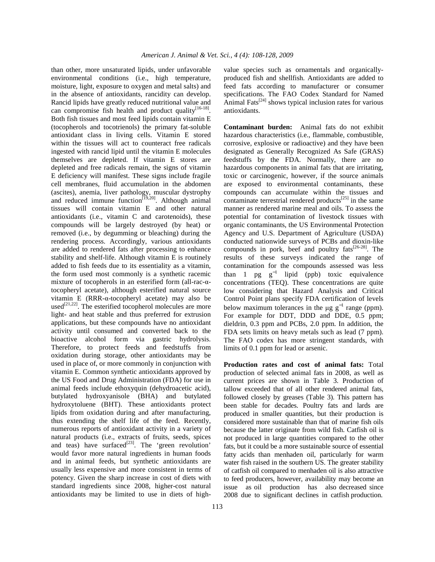than other, more unsaturated lipids, under unfavorable environmental conditions (i.e., high temperature, moisture, light, exposure to oxygen and metal salts) and in the absence of antioxidants, rancidity can develop. Rancid lipids have greatly reduced nutritional value and can compromise fish health and product quality $^{[16-18]}$ . Both fish tissues and most feed lipids contain vitamin E (tocopherols and tocotrienols) the primary fat-soluble antioxidant class in living cells. Vitamin E stored within the tissues will act to counteract free radicals ingested with rancid lipid until the vitamin E molecules themselves are depleted. If vitamin E stores are depleted and free radicals remain, the signs of vitamin E deficiency will manifest. These signs include fragile cell membranes, fluid accumulation in the abdomen (ascites), anemia, liver pathology, muscular dystrophy and reduced immune function<sup>[19,20]</sup>. Although animal tissues will contain vitamin E and other natural antioxidants (i.e., vitamin C and carotenoids), these compounds will be largely destroyed (by heat) or removed (i.e., by degumming or bleaching) during the rendering process. Accordingly, various antioxidants are added to rendered fats after processing to enhance stability and shelf-life. Although vitamin E is routinely added to fish feeds due to its essentiality as a vitamin, the form used most commonly is a synthetic racemic mixture of tocopherols in an esterified form (all-rac-αtocopheryl acetate), although esterified natural source vitamin E (RRR-α-tocopheryl acetate) may also be used<sup>[21,22]</sup>. The esterified tocopherol molecules are more light- and heat stable and thus preferred for extrusion applications, but these compounds have no antioxidant activity until consumed and converted back to the bioactive alcohol form via gastric hydrolysis. Therefore, to protect feeds and feedstuffs from oxidation during storage, other antioxidants may be used in place of, or more commonly in conjunction with vitamin E. Common synthetic antioxidants approved by the US Food and Drug Administration (FDA) for use in animal feeds include ethoxyquin (dehydroacetic acid), butylated hydroxyanisole (BHA) and butylated hydroxytoluene (BHT). These antioxidants protect lipids from oxidation during and after manufacturing, thus extending the shelf life of the feed. Recently, numerous reports of antioxidant activity in a variety of natural products (i.e., extracts of fruits, seeds, spices and teas) have surfaced $[23]$ . The 'green revolution' would favor more natural ingredients in human foods and in animal feeds, but synthetic antioxidants are usually less expensive and more consistent in terms of potency. Given the sharp increase in cost of diets with standard ingredients since 2008, higher-cost natural antioxidants may be limited to use in diets of highvalue species such as ornamentals and organicallyproduced fish and shellfish. Antioxidants are added to feed fats according to manufacturer or consumer specifications. The FAO Codex Standard for Named Animal Fats $^{[24]}$  shows typical inclusion rates for various antioxidants.

**Contaminant burden:** Animal fats do not exhibit hazardous characteristics (i.e., flammable, combustible, corrosive, explosive or radioactive) and they have been designated as Generally Recognized As Safe (GRAS) feedstuffs by the FDA. Normally, there are no hazardous components in animal fats that are irritating, toxic or carcinogenic, however, if the source animals are exposed to environmental contaminants, these compounds can accumulate within the tissues and contaminate terrestrial rendered products<sup>[25]</sup> in the same manner as rendered marine meal and oils. To assess the potential for contamination of livestock tissues with organic contaminants, the US Environmental Protection Agency and U.S. Department of Agriculture (USDA) conducted nationwide surveys of PCBs and dioxin-like compounds in pork, beef and poultry fats[26-28]. The results of these surveys indicated the range of contamination for the compounds assessed was less than 1 pg  $g^{-1}$  lipid (ppb) toxic equivalence concentrations (TEQ). These concentrations are quite low considering that Hazard Analysis and Critical Control Point plans specify FDA certification of levels below maximum tolerances in the  $\mu$ g g<sup>-1</sup> range (ppm). For example for DDT, DDD and DDE,  $0.5$  ppm; dieldrin, 0.3 ppm and PCBs, 2.0 ppm. In addition, the FDA sets limits on heavy metals such as lead (7 ppm). The FAO codex has more stringent standards, with limits of 0.1 ppm for lead or arsenic.

**Production rates and cost of animal fats:** Total production of selected animal fats in 2008, as well as current prices are shown in Table 3. Production of tallow exceeded that of all other rendered animal fats, followed closely by greases (Table 3). This pattern has been stable for decades. Poultry fats and lards are produced in smaller quantities, but their production is considered more sustainable than that of marine fish oils because the latter originate from wild fish. Catfish oil is not produced in large quantities compared to the other fats, but it could be a more sustainable source of essential fatty acids than menhaden oil, particularly for warm water fish raised in the southern US. The greater stability of catfish oil compared to menhaden oil is also attractive to feed producers, however, availability may become an issue as oil production has also decreased since 2008 due to significant declines in catfish production.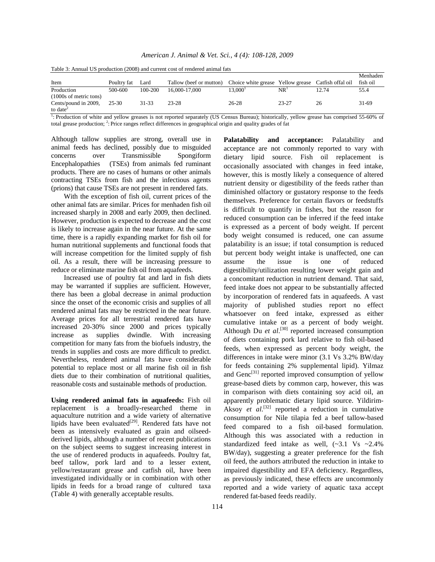| Item                      | Poultry fat | Lard      | Tallow (beef or mutton) | Choice white grease Yellow grease Catfish of fal oil |                 |       | Menhaden<br>fish oil |
|---------------------------|-------------|-----------|-------------------------|------------------------------------------------------|-----------------|-------|----------------------|
| Production                | 500-600     | 100-200   | 16,000-17,000           | $13.000^1$                                           | NR <sup>T</sup> | 12.74 | 55.4                 |
| $(1000s)$ of metric tons) |             |           |                         |                                                      |                 |       |                      |
| Cents/pound in 2009.      | 25-30       | $31 - 33$ | $23 - 28$               | $26 - 28$                                            | $23 - 27$       | 26    | $31-69$              |
| to date $^2$              |             |           |                         |                                                      |                 |       |                      |

Table 3: Annual US production (2008) and current cost of rendered animal fats

<sup>1</sup>: Production of white and yellow greases is not reported separately (US Census Bureau); historically, yellow grease has comprised 55-60% of total grease production; <sup>2</sup>: Price ranges reflect differences in geographical origin and quality grades of fat

Although tallow supplies are strong, overall use in animal feeds has declined, possibly due to misguided concerns over Transmissible Spongiform Encephalopathies (TSEs) from animals fed ruminant products. There are no cases of humans or other animals contracting TSEs from fish and the infectious agents (prions) that cause TSEs are not present in rendered fats.

 With the exception of fish oil, current prices of the other animal fats are similar. Prices for menhaden fish oil increased sharply in 2008 and early 2009, then declined. However, production is expected to decrease and the cost is likely to increase again in the near future. At the same time, there is a rapidly expanding market for fish oil for human nutritional supplements and functional foods that will increase competition for the limited supply of fish oil. As a result, there will be increasing pressure to reduce or eliminate marine fish oil from aquafeeds.

 Increased use of poultry fat and lard in fish diets may be warranted if supplies are sufficient. However, there has been a global decrease in animal production since the onset of the economic crisis and supplies of all rendered animal fats may be restricted in the near future. Average prices for all terrestrial rendered fats have increased 20-30% since 2000 and prices typically increase as supplies dwindle. With increasing competition for many fats from the biofuels industry, the trends in supplies and costs are more difficult to predict. Nevertheless, rendered animal fats have considerable potential to replace most or all marine fish oil in fish diets due to their combination of nutritional qualities, reasonable costs and sustainable methods of production.

**Using rendered animal fats in aquafeeds:** Fish oil replacement is a broadly-researched theme in aquaculture nutrition and a wide variety of alternative lipids have been evaluated<sup>[29]</sup>. Rendered fats have not been as intensively evaluated as grain and oilseedderived lipids, although a number of recent publications on the subject seems to suggest increasing interest in the use of rendered products in aquafeeds. Poultry fat, beef tallow, pork lard and to a lesser extent, yellow/restaurant grease and catfish oil, have been investigated individually or in combination with other lipids in feeds for a broad range of cultured taxa (Table 4) with generally acceptable results.

**Palatability and acceptance:** Palatability and acceptance are not commonly reported to vary with dietary lipid source. Fish oil replacement is occasionally associated with changes in feed intake, however, this is mostly likely a consequence of altered nutrient density or digestibility of the feeds rather than diminished olfactory or gustatory response to the feeds themselves. Preference for certain flavors or feedstuffs is difficult to quantify in fishes, but the reason for reduced consumption can be inferred if the feed intake is expressed as a percent of body weight. If percent body weight consumed is reduced, one can assume palatability is an issue; if total consumption is reduced but percent body weight intake is unaffected, one can assume the issue is one of reduced digestibility/utilization resulting lower weight gain and a concomitant reduction in nutrient demand. That said, feed intake does not appear to be substantially affected by incorporation of rendered fats in aquafeeds. A vast majority of published studies report no effect whatsoever on feed intake, expressed as either cumulative intake or as a percent of body weight. Although Du *et al.*<sup>[30]</sup> reported increased consumption of diets containing pork lard relative to fish oil-based feeds, when expressed as percent body weight, the differences in intake were minor (3.1 Vs 3.2% BW/day for feeds containing 2% supplemental lipid). Yilmaz and  $Genc^{[31]}$  reported improved consumption of yellow grease-based diets by common carp, however, this was in comparison with diets containing soy acid oil, an apparently problematic dietary lipid source. Yildirim-Aksoy *et al.*<sup>[32]</sup> reported a reduction in cumulative consumption for Nile tilapia fed a beef tallow-based feed compared to a fish oil-based formulation. Although this was associated with a reduction in standardized feed intake as well, (~3.1 Vs ~2.4% BW/day), suggesting a greater preference for the fish oil feed, the authors attributed the reduction in intake to impaired digestibility and EFA deficiency. Regardless, as previously indicated, these effects are uncommonly reported and a wide variety of aquatic taxa accept rendered fat-based feeds readily.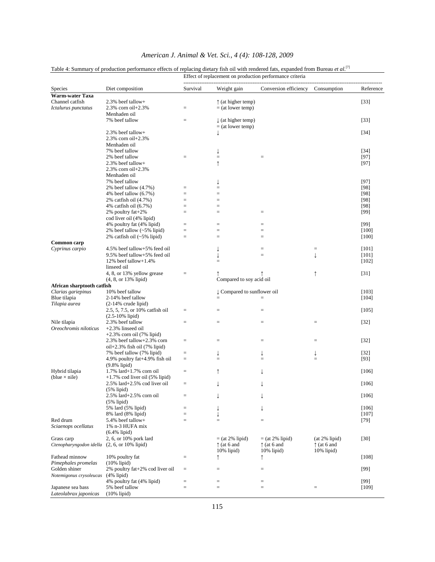# Table 4: Summary of production performance effects of replacing dietary fish oil with rendered fats, expanded from Bureau et al.<sup>[7]</sup>

|                                                                                                                                                                                                                                                                                                                                                                                                                                                                                                                                                                                                                                                                                                                                                                                                                                                                                                                                                                                                                                                                                                                                                                                                                                                                                                                                                                                                                                                                                                                                                                                                                                                                                                                                                                                                                                                                                                                                                                                                                                                                                                                                                                                          | Diet composition                | Survival | Weight gain          |                      | Consumption          | Reference |
|------------------------------------------------------------------------------------------------------------------------------------------------------------------------------------------------------------------------------------------------------------------------------------------------------------------------------------------------------------------------------------------------------------------------------------------------------------------------------------------------------------------------------------------------------------------------------------------------------------------------------------------------------------------------------------------------------------------------------------------------------------------------------------------------------------------------------------------------------------------------------------------------------------------------------------------------------------------------------------------------------------------------------------------------------------------------------------------------------------------------------------------------------------------------------------------------------------------------------------------------------------------------------------------------------------------------------------------------------------------------------------------------------------------------------------------------------------------------------------------------------------------------------------------------------------------------------------------------------------------------------------------------------------------------------------------------------------------------------------------------------------------------------------------------------------------------------------------------------------------------------------------------------------------------------------------------------------------------------------------------------------------------------------------------------------------------------------------------------------------------------------------------------------------------------------------|---------------------------------|----------|----------------------|----------------------|----------------------|-----------|
|                                                                                                                                                                                                                                                                                                                                                                                                                                                                                                                                                                                                                                                                                                                                                                                                                                                                                                                                                                                                                                                                                                                                                                                                                                                                                                                                                                                                                                                                                                                                                                                                                                                                                                                                                                                                                                                                                                                                                                                                                                                                                                                                                                                          |                                 |          |                      |                      |                      |           |
|                                                                                                                                                                                                                                                                                                                                                                                                                                                                                                                                                                                                                                                                                                                                                                                                                                                                                                                                                                                                                                                                                                                                                                                                                                                                                                                                                                                                                                                                                                                                                                                                                                                                                                                                                                                                                                                                                                                                                                                                                                                                                                                                                                                          |                                 |          |                      |                      |                      | $[33]$    |
| Conversion efficiency<br>Species<br>Warm-water Taxa<br>Channel catfish<br>2.3% beef tallow+<br>$\uparrow$ (at higher temp)<br>2.3% corn oil $+2.3%$<br>$=$ (at lower temp)<br>Ictalurus punctatus<br>$\equiv$<br>Menhaden oil<br>7% beef tallow<br>$\downarrow$ (at higher temp)<br>$=$<br>$=$ (at lower temp)<br>2.3% beef tallow+<br>↓<br>2.3% corn oil + $2.3\%$<br>Menhaden oil<br>7% beef tallow<br>↓<br>2% beef tallow<br>$\quad =$<br>$\equiv$<br>$\equiv$<br>2.3% beef tallow+<br>2.3% corn oil+2.3%<br>Menhaden oil<br>7% beef tallow<br>2% beef tallow (4.7%)<br>$\equiv$<br>$\equiv$<br>4% beef tallow (6.7%)<br>$\equiv$<br>$=$<br>2% catfish oil (4.7%)<br>$=$<br>$=$<br>4% catfish oil (6.7%)<br>$=$<br>$\equiv$<br>2% poultry fat+2%<br>$=$<br>$=$<br>$\equiv$<br>cod liver oil (4% lipid)<br>4% poultry fat (4% lipid)<br>$\equiv$<br>$=$<br>$=$<br>2% beef tallow $(\sim 5\%$ lipid)<br>$=$<br>$=$<br>$=$<br>2% catfish oil $(-5\%$ lipid)<br>$=$<br>$=$<br>$=$<br>Common carp<br>4.5% beef tallow+5% feed oil<br>Cyprinus carpio<br>$=$<br>$=$<br>$\downarrow$<br>9.5% beef tallow+5% feed oil<br>↓<br>$=$<br>12% beef tallow+1.4%<br>$=$<br>linseed oil<br>4, 8, or 13% yellow grease<br>↑<br>$=$<br>$(4, 8, or 13\%$ lipid)<br>Compared to soy acid oil<br>African sharptooth catfish<br>10% beef tallow<br>Clarias gariepinus<br>↓ Compared to sunflower oil<br>Blue tilapia<br>2-14% beef tallow<br>$=$<br>Ξ<br>Tilapia aurea<br>$(2-14\%$ crude lipid)<br>2.5, 5, 7.5, or 10% catfish oil<br>$\equiv$<br>$\equiv$<br>$=$<br>$(2.5-10\%$ lipid)<br>Nile tilapia<br>2.3% beef tallow<br>$\equiv$<br>$\equiv$<br>$=$<br>$=$<br>Oreochromis niloticus<br>$+2.3\%$ linseed oil<br>$+2.3\%$ corn oil (7% lipid)<br>2.3% beef tallow+2.3% corn<br>$\equiv$<br>$=$<br>$=$<br>$=$<br>oil+2.3% fish oil (7% lipid)<br>7% beef tallow (7% lipid)<br>↓<br>↓<br>↓<br>$\equiv$<br>4.9% poultry fat+4.9% fish oil<br>$=$<br>$=$<br>$=$<br>$\equiv$<br>$(9.8\%$ lipid)<br>Hybrid tilapia<br>$1.7\%$ lard+ $1.7\%$ corn oil<br>↓<br>$=$<br>(blue $\times$ nile)<br>$+1.7\%$ cod liver oil (5% lipid)<br>$2.5\%$ lard $+2.5\%$ cod liver oil<br>$\equiv$<br>↓<br>↓<br>$(5\%$ lipid) |                                 |          |                      |                      |                      |           |
|                                                                                                                                                                                                                                                                                                                                                                                                                                                                                                                                                                                                                                                                                                                                                                                                                                                                                                                                                                                                                                                                                                                                                                                                                                                                                                                                                                                                                                                                                                                                                                                                                                                                                                                                                                                                                                                                                                                                                                                                                                                                                                                                                                                          |                                 |          |                      |                      |                      |           |
|                                                                                                                                                                                                                                                                                                                                                                                                                                                                                                                                                                                                                                                                                                                                                                                                                                                                                                                                                                                                                                                                                                                                                                                                                                                                                                                                                                                                                                                                                                                                                                                                                                                                                                                                                                                                                                                                                                                                                                                                                                                                                                                                                                                          |                                 |          |                      |                      |                      | $[33]$    |
|                                                                                                                                                                                                                                                                                                                                                                                                                                                                                                                                                                                                                                                                                                                                                                                                                                                                                                                                                                                                                                                                                                                                                                                                                                                                                                                                                                                                                                                                                                                                                                                                                                                                                                                                                                                                                                                                                                                                                                                                                                                                                                                                                                                          |                                 |          |                      |                      |                      |           |
|                                                                                                                                                                                                                                                                                                                                                                                                                                                                                                                                                                                                                                                                                                                                                                                                                                                                                                                                                                                                                                                                                                                                                                                                                                                                                                                                                                                                                                                                                                                                                                                                                                                                                                                                                                                                                                                                                                                                                                                                                                                                                                                                                                                          |                                 |          |                      |                      |                      | $[34]$    |
|                                                                                                                                                                                                                                                                                                                                                                                                                                                                                                                                                                                                                                                                                                                                                                                                                                                                                                                                                                                                                                                                                                                                                                                                                                                                                                                                                                                                                                                                                                                                                                                                                                                                                                                                                                                                                                                                                                                                                                                                                                                                                                                                                                                          |                                 |          |                      |                      |                      |           |
|                                                                                                                                                                                                                                                                                                                                                                                                                                                                                                                                                                                                                                                                                                                                                                                                                                                                                                                                                                                                                                                                                                                                                                                                                                                                                                                                                                                                                                                                                                                                                                                                                                                                                                                                                                                                                                                                                                                                                                                                                                                                                                                                                                                          |                                 |          |                      |                      |                      |           |
|                                                                                                                                                                                                                                                                                                                                                                                                                                                                                                                                                                                                                                                                                                                                                                                                                                                                                                                                                                                                                                                                                                                                                                                                                                                                                                                                                                                                                                                                                                                                                                                                                                                                                                                                                                                                                                                                                                                                                                                                                                                                                                                                                                                          |                                 |          |                      |                      |                      | $[34]$    |
|                                                                                                                                                                                                                                                                                                                                                                                                                                                                                                                                                                                                                                                                                                                                                                                                                                                                                                                                                                                                                                                                                                                                                                                                                                                                                                                                                                                                                                                                                                                                                                                                                                                                                                                                                                                                                                                                                                                                                                                                                                                                                                                                                                                          |                                 |          |                      |                      |                      | $[97]$    |
|                                                                                                                                                                                                                                                                                                                                                                                                                                                                                                                                                                                                                                                                                                                                                                                                                                                                                                                                                                                                                                                                                                                                                                                                                                                                                                                                                                                                                                                                                                                                                                                                                                                                                                                                                                                                                                                                                                                                                                                                                                                                                                                                                                                          |                                 |          |                      |                      |                      | $[97]$    |
|                                                                                                                                                                                                                                                                                                                                                                                                                                                                                                                                                                                                                                                                                                                                                                                                                                                                                                                                                                                                                                                                                                                                                                                                                                                                                                                                                                                                                                                                                                                                                                                                                                                                                                                                                                                                                                                                                                                                                                                                                                                                                                                                                                                          |                                 |          |                      |                      |                      |           |
|                                                                                                                                                                                                                                                                                                                                                                                                                                                                                                                                                                                                                                                                                                                                                                                                                                                                                                                                                                                                                                                                                                                                                                                                                                                                                                                                                                                                                                                                                                                                                                                                                                                                                                                                                                                                                                                                                                                                                                                                                                                                                                                                                                                          |                                 |          |                      |                      |                      |           |
|                                                                                                                                                                                                                                                                                                                                                                                                                                                                                                                                                                                                                                                                                                                                                                                                                                                                                                                                                                                                                                                                                                                                                                                                                                                                                                                                                                                                                                                                                                                                                                                                                                                                                                                                                                                                                                                                                                                                                                                                                                                                                                                                                                                          |                                 |          |                      |                      |                      | $[97]$    |
|                                                                                                                                                                                                                                                                                                                                                                                                                                                                                                                                                                                                                                                                                                                                                                                                                                                                                                                                                                                                                                                                                                                                                                                                                                                                                                                                                                                                                                                                                                                                                                                                                                                                                                                                                                                                                                                                                                                                                                                                                                                                                                                                                                                          |                                 |          |                      |                      |                      | [98]      |
|                                                                                                                                                                                                                                                                                                                                                                                                                                                                                                                                                                                                                                                                                                                                                                                                                                                                                                                                                                                                                                                                                                                                                                                                                                                                                                                                                                                                                                                                                                                                                                                                                                                                                                                                                                                                                                                                                                                                                                                                                                                                                                                                                                                          |                                 |          |                      |                      |                      | [98]      |
|                                                                                                                                                                                                                                                                                                                                                                                                                                                                                                                                                                                                                                                                                                                                                                                                                                                                                                                                                                                                                                                                                                                                                                                                                                                                                                                                                                                                                                                                                                                                                                                                                                                                                                                                                                                                                                                                                                                                                                                                                                                                                                                                                                                          |                                 |          |                      |                      |                      | [98]      |
|                                                                                                                                                                                                                                                                                                                                                                                                                                                                                                                                                                                                                                                                                                                                                                                                                                                                                                                                                                                                                                                                                                                                                                                                                                                                                                                                                                                                                                                                                                                                                                                                                                                                                                                                                                                                                                                                                                                                                                                                                                                                                                                                                                                          |                                 |          |                      |                      |                      | [98]      |
|                                                                                                                                                                                                                                                                                                                                                                                                                                                                                                                                                                                                                                                                                                                                                                                                                                                                                                                                                                                                                                                                                                                                                                                                                                                                                                                                                                                                                                                                                                                                                                                                                                                                                                                                                                                                                                                                                                                                                                                                                                                                                                                                                                                          |                                 |          |                      |                      |                      | $[99]$    |
|                                                                                                                                                                                                                                                                                                                                                                                                                                                                                                                                                                                                                                                                                                                                                                                                                                                                                                                                                                                                                                                                                                                                                                                                                                                                                                                                                                                                                                                                                                                                                                                                                                                                                                                                                                                                                                                                                                                                                                                                                                                                                                                                                                                          |                                 |          |                      |                      |                      |           |
|                                                                                                                                                                                                                                                                                                                                                                                                                                                                                                                                                                                                                                                                                                                                                                                                                                                                                                                                                                                                                                                                                                                                                                                                                                                                                                                                                                                                                                                                                                                                                                                                                                                                                                                                                                                                                                                                                                                                                                                                                                                                                                                                                                                          |                                 |          |                      |                      |                      | [99]      |
|                                                                                                                                                                                                                                                                                                                                                                                                                                                                                                                                                                                                                                                                                                                                                                                                                                                                                                                                                                                                                                                                                                                                                                                                                                                                                                                                                                                                                                                                                                                                                                                                                                                                                                                                                                                                                                                                                                                                                                                                                                                                                                                                                                                          |                                 |          |                      |                      |                      |           |
|                                                                                                                                                                                                                                                                                                                                                                                                                                                                                                                                                                                                                                                                                                                                                                                                                                                                                                                                                                                                                                                                                                                                                                                                                                                                                                                                                                                                                                                                                                                                                                                                                                                                                                                                                                                                                                                                                                                                                                                                                                                                                                                                                                                          |                                 |          |                      |                      |                      | $[100]$   |
|                                                                                                                                                                                                                                                                                                                                                                                                                                                                                                                                                                                                                                                                                                                                                                                                                                                                                                                                                                                                                                                                                                                                                                                                                                                                                                                                                                                                                                                                                                                                                                                                                                                                                                                                                                                                                                                                                                                                                                                                                                                                                                                                                                                          |                                 |          |                      |                      |                      | [100]     |
|                                                                                                                                                                                                                                                                                                                                                                                                                                                                                                                                                                                                                                                                                                                                                                                                                                                                                                                                                                                                                                                                                                                                                                                                                                                                                                                                                                                                                                                                                                                                                                                                                                                                                                                                                                                                                                                                                                                                                                                                                                                                                                                                                                                          |                                 |          |                      |                      |                      |           |
|                                                                                                                                                                                                                                                                                                                                                                                                                                                                                                                                                                                                                                                                                                                                                                                                                                                                                                                                                                                                                                                                                                                                                                                                                                                                                                                                                                                                                                                                                                                                                                                                                                                                                                                                                                                                                                                                                                                                                                                                                                                                                                                                                                                          |                                 |          |                      |                      |                      | $[101]$   |
|                                                                                                                                                                                                                                                                                                                                                                                                                                                                                                                                                                                                                                                                                                                                                                                                                                                                                                                                                                                                                                                                                                                                                                                                                                                                                                                                                                                                                                                                                                                                                                                                                                                                                                                                                                                                                                                                                                                                                                                                                                                                                                                                                                                          |                                 |          |                      |                      |                      | $[101]$   |
|                                                                                                                                                                                                                                                                                                                                                                                                                                                                                                                                                                                                                                                                                                                                                                                                                                                                                                                                                                                                                                                                                                                                                                                                                                                                                                                                                                                                                                                                                                                                                                                                                                                                                                                                                                                                                                                                                                                                                                                                                                                                                                                                                                                          |                                 |          |                      |                      |                      | $[102]$   |
|                                                                                                                                                                                                                                                                                                                                                                                                                                                                                                                                                                                                                                                                                                                                                                                                                                                                                                                                                                                                                                                                                                                                                                                                                                                                                                                                                                                                                                                                                                                                                                                                                                                                                                                                                                                                                                                                                                                                                                                                                                                                                                                                                                                          |                                 |          |                      |                      |                      |           |
|                                                                                                                                                                                                                                                                                                                                                                                                                                                                                                                                                                                                                                                                                                                                                                                                                                                                                                                                                                                                                                                                                                                                                                                                                                                                                                                                                                                                                                                                                                                                                                                                                                                                                                                                                                                                                                                                                                                                                                                                                                                                                                                                                                                          |                                 |          |                      |                      |                      | $[31]$    |
|                                                                                                                                                                                                                                                                                                                                                                                                                                                                                                                                                                                                                                                                                                                                                                                                                                                                                                                                                                                                                                                                                                                                                                                                                                                                                                                                                                                                                                                                                                                                                                                                                                                                                                                                                                                                                                                                                                                                                                                                                                                                                                                                                                                          |                                 |          |                      |                      |                      |           |
|                                                                                                                                                                                                                                                                                                                                                                                                                                                                                                                                                                                                                                                                                                                                                                                                                                                                                                                                                                                                                                                                                                                                                                                                                                                                                                                                                                                                                                                                                                                                                                                                                                                                                                                                                                                                                                                                                                                                                                                                                                                                                                                                                                                          |                                 |          |                      |                      |                      |           |
|                                                                                                                                                                                                                                                                                                                                                                                                                                                                                                                                                                                                                                                                                                                                                                                                                                                                                                                                                                                                                                                                                                                                                                                                                                                                                                                                                                                                                                                                                                                                                                                                                                                                                                                                                                                                                                                                                                                                                                                                                                                                                                                                                                                          |                                 |          |                      |                      |                      | $[103]$   |
|                                                                                                                                                                                                                                                                                                                                                                                                                                                                                                                                                                                                                                                                                                                                                                                                                                                                                                                                                                                                                                                                                                                                                                                                                                                                                                                                                                                                                                                                                                                                                                                                                                                                                                                                                                                                                                                                                                                                                                                                                                                                                                                                                                                          |                                 |          |                      |                      |                      | $[104]$   |
|                                                                                                                                                                                                                                                                                                                                                                                                                                                                                                                                                                                                                                                                                                                                                                                                                                                                                                                                                                                                                                                                                                                                                                                                                                                                                                                                                                                                                                                                                                                                                                                                                                                                                                                                                                                                                                                                                                                                                                                                                                                                                                                                                                                          |                                 |          |                      |                      |                      |           |
|                                                                                                                                                                                                                                                                                                                                                                                                                                                                                                                                                                                                                                                                                                                                                                                                                                                                                                                                                                                                                                                                                                                                                                                                                                                                                                                                                                                                                                                                                                                                                                                                                                                                                                                                                                                                                                                                                                                                                                                                                                                                                                                                                                                          |                                 |          |                      |                      |                      | [105]     |
|                                                                                                                                                                                                                                                                                                                                                                                                                                                                                                                                                                                                                                                                                                                                                                                                                                                                                                                                                                                                                                                                                                                                                                                                                                                                                                                                                                                                                                                                                                                                                                                                                                                                                                                                                                                                                                                                                                                                                                                                                                                                                                                                                                                          |                                 |          |                      |                      |                      |           |
|                                                                                                                                                                                                                                                                                                                                                                                                                                                                                                                                                                                                                                                                                                                                                                                                                                                                                                                                                                                                                                                                                                                                                                                                                                                                                                                                                                                                                                                                                                                                                                                                                                                                                                                                                                                                                                                                                                                                                                                                                                                                                                                                                                                          |                                 |          |                      |                      |                      | $[32]$    |
|                                                                                                                                                                                                                                                                                                                                                                                                                                                                                                                                                                                                                                                                                                                                                                                                                                                                                                                                                                                                                                                                                                                                                                                                                                                                                                                                                                                                                                                                                                                                                                                                                                                                                                                                                                                                                                                                                                                                                                                                                                                                                                                                                                                          |                                 |          |                      |                      |                      |           |
|                                                                                                                                                                                                                                                                                                                                                                                                                                                                                                                                                                                                                                                                                                                                                                                                                                                                                                                                                                                                                                                                                                                                                                                                                                                                                                                                                                                                                                                                                                                                                                                                                                                                                                                                                                                                                                                                                                                                                                                                                                                                                                                                                                                          |                                 |          |                      |                      |                      |           |
|                                                                                                                                                                                                                                                                                                                                                                                                                                                                                                                                                                                                                                                                                                                                                                                                                                                                                                                                                                                                                                                                                                                                                                                                                                                                                                                                                                                                                                                                                                                                                                                                                                                                                                                                                                                                                                                                                                                                                                                                                                                                                                                                                                                          |                                 |          |                      |                      |                      | $[32]$    |
|                                                                                                                                                                                                                                                                                                                                                                                                                                                                                                                                                                                                                                                                                                                                                                                                                                                                                                                                                                                                                                                                                                                                                                                                                                                                                                                                                                                                                                                                                                                                                                                                                                                                                                                                                                                                                                                                                                                                                                                                                                                                                                                                                                                          |                                 |          |                      |                      |                      |           |
|                                                                                                                                                                                                                                                                                                                                                                                                                                                                                                                                                                                                                                                                                                                                                                                                                                                                                                                                                                                                                                                                                                                                                                                                                                                                                                                                                                                                                                                                                                                                                                                                                                                                                                                                                                                                                                                                                                                                                                                                                                                                                                                                                                                          |                                 |          |                      |                      |                      | $[32]$    |
|                                                                                                                                                                                                                                                                                                                                                                                                                                                                                                                                                                                                                                                                                                                                                                                                                                                                                                                                                                                                                                                                                                                                                                                                                                                                                                                                                                                                                                                                                                                                                                                                                                                                                                                                                                                                                                                                                                                                                                                                                                                                                                                                                                                          |                                 |          |                      |                      |                      |           |
|                                                                                                                                                                                                                                                                                                                                                                                                                                                                                                                                                                                                                                                                                                                                                                                                                                                                                                                                                                                                                                                                                                                                                                                                                                                                                                                                                                                                                                                                                                                                                                                                                                                                                                                                                                                                                                                                                                                                                                                                                                                                                                                                                                                          |                                 |          |                      |                      |                      | $[93]$    |
|                                                                                                                                                                                                                                                                                                                                                                                                                                                                                                                                                                                                                                                                                                                                                                                                                                                                                                                                                                                                                                                                                                                                                                                                                                                                                                                                                                                                                                                                                                                                                                                                                                                                                                                                                                                                                                                                                                                                                                                                                                                                                                                                                                                          |                                 |          |                      |                      |                      |           |
|                                                                                                                                                                                                                                                                                                                                                                                                                                                                                                                                                                                                                                                                                                                                                                                                                                                                                                                                                                                                                                                                                                                                                                                                                                                                                                                                                                                                                                                                                                                                                                                                                                                                                                                                                                                                                                                                                                                                                                                                                                                                                                                                                                                          |                                 |          |                      |                      |                      | $[106]$   |
|                                                                                                                                                                                                                                                                                                                                                                                                                                                                                                                                                                                                                                                                                                                                                                                                                                                                                                                                                                                                                                                                                                                                                                                                                                                                                                                                                                                                                                                                                                                                                                                                                                                                                                                                                                                                                                                                                                                                                                                                                                                                                                                                                                                          |                                 |          |                      |                      |                      |           |
|                                                                                                                                                                                                                                                                                                                                                                                                                                                                                                                                                                                                                                                                                                                                                                                                                                                                                                                                                                                                                                                                                                                                                                                                                                                                                                                                                                                                                                                                                                                                                                                                                                                                                                                                                                                                                                                                                                                                                                                                                                                                                                                                                                                          |                                 |          |                      |                      |                      | $[106]$   |
|                                                                                                                                                                                                                                                                                                                                                                                                                                                                                                                                                                                                                                                                                                                                                                                                                                                                                                                                                                                                                                                                                                                                                                                                                                                                                                                                                                                                                                                                                                                                                                                                                                                                                                                                                                                                                                                                                                                                                                                                                                                                                                                                                                                          |                                 |          |                      |                      |                      |           |
|                                                                                                                                                                                                                                                                                                                                                                                                                                                                                                                                                                                                                                                                                                                                                                                                                                                                                                                                                                                                                                                                                                                                                                                                                                                                                                                                                                                                                                                                                                                                                                                                                                                                                                                                                                                                                                                                                                                                                                                                                                                                                                                                                                                          | 2.5% lard+2.5% corn oil         | $\equiv$ |                      |                      |                      | [106]     |
|                                                                                                                                                                                                                                                                                                                                                                                                                                                                                                                                                                                                                                                                                                                                                                                                                                                                                                                                                                                                                                                                                                                                                                                                                                                                                                                                                                                                                                                                                                                                                                                                                                                                                                                                                                                                                                                                                                                                                                                                                                                                                                                                                                                          | $(5\%$ lipid)                   |          |                      |                      |                      |           |
|                                                                                                                                                                                                                                                                                                                                                                                                                                                                                                                                                                                                                                                                                                                                                                                                                                                                                                                                                                                                                                                                                                                                                                                                                                                                                                                                                                                                                                                                                                                                                                                                                                                                                                                                                                                                                                                                                                                                                                                                                                                                                                                                                                                          | 5% lard (5% lipid)              | $=$      |                      | ↓                    |                      | [106]     |
|                                                                                                                                                                                                                                                                                                                                                                                                                                                                                                                                                                                                                                                                                                                                                                                                                                                                                                                                                                                                                                                                                                                                                                                                                                                                                                                                                                                                                                                                                                                                                                                                                                                                                                                                                                                                                                                                                                                                                                                                                                                                                                                                                                                          | 8% lard (8% lipid)              | $=$      | ↓                    |                      |                      | $[107]$   |
| Red drum                                                                                                                                                                                                                                                                                                                                                                                                                                                                                                                                                                                                                                                                                                                                                                                                                                                                                                                                                                                                                                                                                                                                                                                                                                                                                                                                                                                                                                                                                                                                                                                                                                                                                                                                                                                                                                                                                                                                                                                                                                                                                                                                                                                 | 5.4% beef tallow+               | $=$      | $\equiv$             | $=$                  |                      | $[79]$    |
| Sciaenops ocellatus                                                                                                                                                                                                                                                                                                                                                                                                                                                                                                                                                                                                                                                                                                                                                                                                                                                                                                                                                                                                                                                                                                                                                                                                                                                                                                                                                                                                                                                                                                                                                                                                                                                                                                                                                                                                                                                                                                                                                                                                                                                                                                                                                                      | 1% n-3 HUFA mix                 |          |                      |                      |                      |           |
|                                                                                                                                                                                                                                                                                                                                                                                                                                                                                                                                                                                                                                                                                                                                                                                                                                                                                                                                                                                                                                                                                                                                                                                                                                                                                                                                                                                                                                                                                                                                                                                                                                                                                                                                                                                                                                                                                                                                                                                                                                                                                                                                                                                          | $(6.4\%$ lipid)                 |          |                      |                      |                      |           |
| Grass carp                                                                                                                                                                                                                                                                                                                                                                                                                                                                                                                                                                                                                                                                                                                                                                                                                                                                                                                                                                                                                                                                                                                                                                                                                                                                                                                                                                                                                                                                                                                                                                                                                                                                                                                                                                                                                                                                                                                                                                                                                                                                                                                                                                               | 2, 6, or 10% pork lard          |          | $=$ (at 2% lipid)    | $=$ (at 2% lipid)    | $(at 2\% lipid)$     | $[30]$    |
| Ctenopharyngodon idella                                                                                                                                                                                                                                                                                                                                                                                                                                                                                                                                                                                                                                                                                                                                                                                                                                                                                                                                                                                                                                                                                                                                                                                                                                                                                                                                                                                                                                                                                                                                                                                                                                                                                                                                                                                                                                                                                                                                                                                                                                                                                                                                                                  | $(2, 6, or 10\%$ lipid)         |          | $\uparrow$ (at 6 and | $\uparrow$ (at 6 and | $\uparrow$ (at 6 and |           |
|                                                                                                                                                                                                                                                                                                                                                                                                                                                                                                                                                                                                                                                                                                                                                                                                                                                                                                                                                                                                                                                                                                                                                                                                                                                                                                                                                                                                                                                                                                                                                                                                                                                                                                                                                                                                                                                                                                                                                                                                                                                                                                                                                                                          |                                 |          | $10\%$ lipid)        | $10\%$ lipid)        | $10\%$ lipid)        |           |
| Fathead minnow                                                                                                                                                                                                                                                                                                                                                                                                                                                                                                                                                                                                                                                                                                                                                                                                                                                                                                                                                                                                                                                                                                                                                                                                                                                                                                                                                                                                                                                                                                                                                                                                                                                                                                                                                                                                                                                                                                                                                                                                                                                                                                                                                                           | 10% poultry fat                 | $\equiv$ |                      | î                    |                      | $[108]$   |
| Pimephales promelas                                                                                                                                                                                                                                                                                                                                                                                                                                                                                                                                                                                                                                                                                                                                                                                                                                                                                                                                                                                                                                                                                                                                                                                                                                                                                                                                                                                                                                                                                                                                                                                                                                                                                                                                                                                                                                                                                                                                                                                                                                                                                                                                                                      | $(10\%$ lipid)                  |          |                      |                      |                      |           |
| Golden shiner                                                                                                                                                                                                                                                                                                                                                                                                                                                                                                                                                                                                                                                                                                                                                                                                                                                                                                                                                                                                                                                                                                                                                                                                                                                                                                                                                                                                                                                                                                                                                                                                                                                                                                                                                                                                                                                                                                                                                                                                                                                                                                                                                                            | 2% poultry fat+2% cod liver oil | $\equiv$ | $\equiv$             | $=$                  |                      | $[99]$    |
|                                                                                                                                                                                                                                                                                                                                                                                                                                                                                                                                                                                                                                                                                                                                                                                                                                                                                                                                                                                                                                                                                                                                                                                                                                                                                                                                                                                                                                                                                                                                                                                                                                                                                                                                                                                                                                                                                                                                                                                                                                                                                                                                                                                          | $(4\%$ lipid)                   |          |                      |                      |                      |           |
| Notemigonus crysoleucas                                                                                                                                                                                                                                                                                                                                                                                                                                                                                                                                                                                                                                                                                                                                                                                                                                                                                                                                                                                                                                                                                                                                                                                                                                                                                                                                                                                                                                                                                                                                                                                                                                                                                                                                                                                                                                                                                                                                                                                                                                                                                                                                                                  | 4% poultry fat (4% lipid)       | $=$      | $\equiv$             | $\equiv$             |                      | [99]      |
|                                                                                                                                                                                                                                                                                                                                                                                                                                                                                                                                                                                                                                                                                                                                                                                                                                                                                                                                                                                                                                                                                                                                                                                                                                                                                                                                                                                                                                                                                                                                                                                                                                                                                                                                                                                                                                                                                                                                                                                                                                                                                                                                                                                          | 5% beef tallow                  |          | $\equiv$             |                      |                      |           |
| Japanese sea bass                                                                                                                                                                                                                                                                                                                                                                                                                                                                                                                                                                                                                                                                                                                                                                                                                                                                                                                                                                                                                                                                                                                                                                                                                                                                                                                                                                                                                                                                                                                                                                                                                                                                                                                                                                                                                                                                                                                                                                                                                                                                                                                                                                        |                                 | $\equiv$ |                      | $=$                  | $\equiv$             | $[109]$   |
| Lateolabrax japonicas                                                                                                                                                                                                                                                                                                                                                                                                                                                                                                                                                                                                                                                                                                                                                                                                                                                                                                                                                                                                                                                                                                                                                                                                                                                                                                                                                                                                                                                                                                                                                                                                                                                                                                                                                                                                                                                                                                                                                                                                                                                                                                                                                                    | $(10\%$ lipid)                  |          |                      |                      |                      |           |

# Effect of replacement on production performance criteria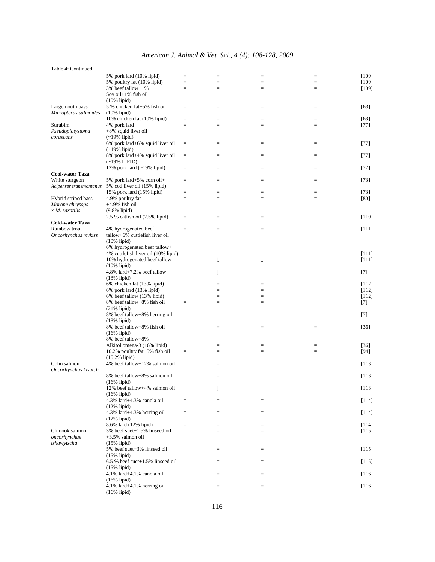| 5% pork lard (10% lipid)<br>$[109]$<br>$\equiv$<br>$\equiv$<br>$\equiv$<br>$\equiv$<br>5% poultry fat (10% lipid)<br>[109]<br>$\quad \  \  =$<br>$=$<br>$\equiv$<br>$\equiv$<br>3% beef tallow+1%<br>$[109]$<br>$=$<br>$=$<br>$\equiv$<br>$\equiv$<br>Soy oil+1% fish oil<br>$(10\%$ lipid)<br>5 % chicken fat+5% fish oil<br>Largemouth bass<br>$[63]$<br>$\equiv$<br>Ξ<br>$=$<br>Ξ<br>Micropterus salmoides<br>$(10\%$ lipid)<br>10% chicken fat (10% lipid)<br>[63]<br>$\equiv$<br>$=$<br>$\quad =$<br>$\equiv$<br>Surubim<br>4% pork lard<br>$[77]$<br>$\equiv$<br>$=$<br>$\equiv$<br>$\equiv$<br>Pseudoplatystoma<br>$+8\%$ squid liver oil<br>$(-19\%$ lipid)<br>coruscans<br>6% pork lard+6% squid liver oil<br>$[77]$<br>$\equiv$<br>$=$<br>$\equiv$<br>$\equiv$<br>$(-19\%$ lipid)<br>8% pork lard+4% squid liver oil<br>$[77]$<br>$\equiv$<br>$=$<br>$\equiv$<br>$\equiv$<br>$(\sim19\%$ LIPID)<br>12% pork lard $(\sim 19\%$ lipid)<br>$[77]$<br>$\equiv$<br>$=$<br>$\equiv$<br>$\equiv$<br><b>Cool-water Taxa</b><br>White sturgeon<br>5% pork lard+5% corn oil+<br>$[73]$<br>$=$<br>$=$<br>$\equiv$<br>$\equiv$<br>5% cod liver oil (15% lipid)<br>Acipenser transmontanus<br>15% pork lard (15% lipid)<br>$[73]$<br>$=$<br>$=$<br>$\equiv$<br>$\equiv$<br>4.9% poultry fat<br>[80]<br>Hybrid striped bass<br>$\equiv$<br>$=$<br>$\equiv$<br>$=$<br>Morone chrysops<br>$+4.9\%$ fish oil<br>$\times$ M. saxatilis<br>$(9.8\%$ lipid)<br>2.5 % catfish oil (2.5% lipid)<br>$[110]$<br>$\equiv$<br>$=$<br>$\equiv$<br><b>Cold-water Taxa</b><br>Rainbow trout<br>4% hydrogenated beef<br>[111]<br>$\equiv$<br>$=$<br>$=$<br>tallow+6% cuttlefish liver oil<br>Oncorhynchus mykiss<br>$(10\%$ lipid)<br>6% hydrogenated beef tallow+<br>4% cuttlefish liver oil (10% lipid)<br>[111]<br>$\equiv$<br>$=$<br>$\equiv$<br>10% hydrogenated beef tallow<br>$\downarrow$<br>$\equiv$<br>↓<br>[111]<br>$(10\%$ lipid)<br>4.8% lard+7.2% beef tallow<br>$[7]$<br>↓<br>$(18\%$ lipid)<br>6% chicken fat (13% lipid)<br>[112]<br>$=$<br>$\equiv$<br>6% pork lard (13% lipid)<br>$[112]$<br>$\equiv$<br>$=$<br>6% beef tallow (13% lipid)<br>$[112]$<br>$=$<br>$\equiv$<br>8% beef tallow+8% fish oil<br>$[7]$<br>$\equiv$<br>$=$<br>$\equiv$<br>$(21\%$ lipid)<br>8% beef tallow+8% herring oil<br>$[7]$<br>$\equiv$<br>$=$<br>$(18\%$ lipid)<br>8% beef tallow+8% fish oil<br>$[36]$<br>$=$<br>$\equiv$<br>$\equiv$<br>$(16\%$ lipid)<br>8% beef tallow+8%<br>Alkitol omega-3 (16% lipid)<br>$[36]$<br>$=$<br>$\equiv$<br>$\equiv$<br>10.2% poultry fat+5% fish oil<br>$[94]$<br>$=$<br>$=$<br>$=$<br>$\equiv$<br>$(15.2\%$ lipid)<br>Coho salmon<br>4% beef tallow+12% salmon oil<br>[113]<br>$=$<br>Oncorhynchus kisutch<br>8% beef tallow+8% salmon oil<br>[113]<br>$=$<br>$(16\%$ lipid)<br>12% beef tallow+4% salmon oil<br>$[113]$<br>↓<br>$(16\%$ lipid)<br>4.3% lard+4.3% canola oil<br>[114]<br>$=$<br>$=$<br>$=$<br>$(12\%$ lipid)<br>4.3% lard+4.3% herring oil<br>$[114]$<br>$=$<br>$=$<br>$\equiv$<br>$(12\%$ lipid)<br>8.6% lard (12% lipid)<br>[114]<br>$=$<br>$=$<br>$\equiv$<br>3% beef suet+1.5% linseed oil<br>Chinook salmon<br>$[115]$<br>$=$<br>$\equiv$<br>oncorhynchus<br>$+3.5\%$ salmon oil<br>tshawytscha<br>$(15\%$ lipid)<br>5% beef suet+3% linseed oil<br>[115]<br>$=$<br>$\equiv$<br>$(15\%$ lipid)<br>6.5 % beef suet+1.5% linseed oil<br>$[115]$<br>$=$<br>$\equiv$<br>$(15\%$ lipid)<br>4.1% lard+4.1% canola oil<br>$[116]$<br>$=$<br>$=$<br>$(16\%$ lipid)<br>$4.1\%$ lard $+4.1\%$ herring oil<br>$[116]$ | Table 4: Continued |  |          |          |  |
|---------------------------------------------------------------------------------------------------------------------------------------------------------------------------------------------------------------------------------------------------------------------------------------------------------------------------------------------------------------------------------------------------------------------------------------------------------------------------------------------------------------------------------------------------------------------------------------------------------------------------------------------------------------------------------------------------------------------------------------------------------------------------------------------------------------------------------------------------------------------------------------------------------------------------------------------------------------------------------------------------------------------------------------------------------------------------------------------------------------------------------------------------------------------------------------------------------------------------------------------------------------------------------------------------------------------------------------------------------------------------------------------------------------------------------------------------------------------------------------------------------------------------------------------------------------------------------------------------------------------------------------------------------------------------------------------------------------------------------------------------------------------------------------------------------------------------------------------------------------------------------------------------------------------------------------------------------------------------------------------------------------------------------------------------------------------------------------------------------------------------------------------------------------------------------------------------------------------------------------------------------------------------------------------------------------------------------------------------------------------------------------------------------------------------------------------------------------------------------------------------------------------------------------------------------------------------------------------------------------------------------------------------------------------------------------------------------------------------------------------------------------------------------------------------------------------------------------------------------------------------------------------------------------------------------------------------------------------------------------------------------------------------------------------------------------------------------------------------------------------------------------------------------------------------------------------------------------------------------------------------------------------------------------------------------------------------------------------------------------------------------------------------------------------------------------------------------------------------------------------------------------------------------------------------|--------------------|--|----------|----------|--|
|                                                                                                                                                                                                                                                                                                                                                                                                                                                                                                                                                                                                                                                                                                                                                                                                                                                                                                                                                                                                                                                                                                                                                                                                                                                                                                                                                                                                                                                                                                                                                                                                                                                                                                                                                                                                                                                                                                                                                                                                                                                                                                                                                                                                                                                                                                                                                                                                                                                                                                                                                                                                                                                                                                                                                                                                                                                                                                                                                                                                                                                                                                                                                                                                                                                                                                                                                                                                                                                                                                                                                   |                    |  |          |          |  |
|                                                                                                                                                                                                                                                                                                                                                                                                                                                                                                                                                                                                                                                                                                                                                                                                                                                                                                                                                                                                                                                                                                                                                                                                                                                                                                                                                                                                                                                                                                                                                                                                                                                                                                                                                                                                                                                                                                                                                                                                                                                                                                                                                                                                                                                                                                                                                                                                                                                                                                                                                                                                                                                                                                                                                                                                                                                                                                                                                                                                                                                                                                                                                                                                                                                                                                                                                                                                                                                                                                                                                   |                    |  |          |          |  |
|                                                                                                                                                                                                                                                                                                                                                                                                                                                                                                                                                                                                                                                                                                                                                                                                                                                                                                                                                                                                                                                                                                                                                                                                                                                                                                                                                                                                                                                                                                                                                                                                                                                                                                                                                                                                                                                                                                                                                                                                                                                                                                                                                                                                                                                                                                                                                                                                                                                                                                                                                                                                                                                                                                                                                                                                                                                                                                                                                                                                                                                                                                                                                                                                                                                                                                                                                                                                                                                                                                                                                   |                    |  |          |          |  |
|                                                                                                                                                                                                                                                                                                                                                                                                                                                                                                                                                                                                                                                                                                                                                                                                                                                                                                                                                                                                                                                                                                                                                                                                                                                                                                                                                                                                                                                                                                                                                                                                                                                                                                                                                                                                                                                                                                                                                                                                                                                                                                                                                                                                                                                                                                                                                                                                                                                                                                                                                                                                                                                                                                                                                                                                                                                                                                                                                                                                                                                                                                                                                                                                                                                                                                                                                                                                                                                                                                                                                   |                    |  |          |          |  |
|                                                                                                                                                                                                                                                                                                                                                                                                                                                                                                                                                                                                                                                                                                                                                                                                                                                                                                                                                                                                                                                                                                                                                                                                                                                                                                                                                                                                                                                                                                                                                                                                                                                                                                                                                                                                                                                                                                                                                                                                                                                                                                                                                                                                                                                                                                                                                                                                                                                                                                                                                                                                                                                                                                                                                                                                                                                                                                                                                                                                                                                                                                                                                                                                                                                                                                                                                                                                                                                                                                                                                   |                    |  |          |          |  |
|                                                                                                                                                                                                                                                                                                                                                                                                                                                                                                                                                                                                                                                                                                                                                                                                                                                                                                                                                                                                                                                                                                                                                                                                                                                                                                                                                                                                                                                                                                                                                                                                                                                                                                                                                                                                                                                                                                                                                                                                                                                                                                                                                                                                                                                                                                                                                                                                                                                                                                                                                                                                                                                                                                                                                                                                                                                                                                                                                                                                                                                                                                                                                                                                                                                                                                                                                                                                                                                                                                                                                   |                    |  |          |          |  |
|                                                                                                                                                                                                                                                                                                                                                                                                                                                                                                                                                                                                                                                                                                                                                                                                                                                                                                                                                                                                                                                                                                                                                                                                                                                                                                                                                                                                                                                                                                                                                                                                                                                                                                                                                                                                                                                                                                                                                                                                                                                                                                                                                                                                                                                                                                                                                                                                                                                                                                                                                                                                                                                                                                                                                                                                                                                                                                                                                                                                                                                                                                                                                                                                                                                                                                                                                                                                                                                                                                                                                   |                    |  |          |          |  |
|                                                                                                                                                                                                                                                                                                                                                                                                                                                                                                                                                                                                                                                                                                                                                                                                                                                                                                                                                                                                                                                                                                                                                                                                                                                                                                                                                                                                                                                                                                                                                                                                                                                                                                                                                                                                                                                                                                                                                                                                                                                                                                                                                                                                                                                                                                                                                                                                                                                                                                                                                                                                                                                                                                                                                                                                                                                                                                                                                                                                                                                                                                                                                                                                                                                                                                                                                                                                                                                                                                                                                   |                    |  |          |          |  |
|                                                                                                                                                                                                                                                                                                                                                                                                                                                                                                                                                                                                                                                                                                                                                                                                                                                                                                                                                                                                                                                                                                                                                                                                                                                                                                                                                                                                                                                                                                                                                                                                                                                                                                                                                                                                                                                                                                                                                                                                                                                                                                                                                                                                                                                                                                                                                                                                                                                                                                                                                                                                                                                                                                                                                                                                                                                                                                                                                                                                                                                                                                                                                                                                                                                                                                                                                                                                                                                                                                                                                   |                    |  |          |          |  |
|                                                                                                                                                                                                                                                                                                                                                                                                                                                                                                                                                                                                                                                                                                                                                                                                                                                                                                                                                                                                                                                                                                                                                                                                                                                                                                                                                                                                                                                                                                                                                                                                                                                                                                                                                                                                                                                                                                                                                                                                                                                                                                                                                                                                                                                                                                                                                                                                                                                                                                                                                                                                                                                                                                                                                                                                                                                                                                                                                                                                                                                                                                                                                                                                                                                                                                                                                                                                                                                                                                                                                   |                    |  |          |          |  |
|                                                                                                                                                                                                                                                                                                                                                                                                                                                                                                                                                                                                                                                                                                                                                                                                                                                                                                                                                                                                                                                                                                                                                                                                                                                                                                                                                                                                                                                                                                                                                                                                                                                                                                                                                                                                                                                                                                                                                                                                                                                                                                                                                                                                                                                                                                                                                                                                                                                                                                                                                                                                                                                                                                                                                                                                                                                                                                                                                                                                                                                                                                                                                                                                                                                                                                                                                                                                                                                                                                                                                   |                    |  |          |          |  |
|                                                                                                                                                                                                                                                                                                                                                                                                                                                                                                                                                                                                                                                                                                                                                                                                                                                                                                                                                                                                                                                                                                                                                                                                                                                                                                                                                                                                                                                                                                                                                                                                                                                                                                                                                                                                                                                                                                                                                                                                                                                                                                                                                                                                                                                                                                                                                                                                                                                                                                                                                                                                                                                                                                                                                                                                                                                                                                                                                                                                                                                                                                                                                                                                                                                                                                                                                                                                                                                                                                                                                   |                    |  |          |          |  |
|                                                                                                                                                                                                                                                                                                                                                                                                                                                                                                                                                                                                                                                                                                                                                                                                                                                                                                                                                                                                                                                                                                                                                                                                                                                                                                                                                                                                                                                                                                                                                                                                                                                                                                                                                                                                                                                                                                                                                                                                                                                                                                                                                                                                                                                                                                                                                                                                                                                                                                                                                                                                                                                                                                                                                                                                                                                                                                                                                                                                                                                                                                                                                                                                                                                                                                                                                                                                                                                                                                                                                   |                    |  |          |          |  |
|                                                                                                                                                                                                                                                                                                                                                                                                                                                                                                                                                                                                                                                                                                                                                                                                                                                                                                                                                                                                                                                                                                                                                                                                                                                                                                                                                                                                                                                                                                                                                                                                                                                                                                                                                                                                                                                                                                                                                                                                                                                                                                                                                                                                                                                                                                                                                                                                                                                                                                                                                                                                                                                                                                                                                                                                                                                                                                                                                                                                                                                                                                                                                                                                                                                                                                                                                                                                                                                                                                                                                   |                    |  |          |          |  |
|                                                                                                                                                                                                                                                                                                                                                                                                                                                                                                                                                                                                                                                                                                                                                                                                                                                                                                                                                                                                                                                                                                                                                                                                                                                                                                                                                                                                                                                                                                                                                                                                                                                                                                                                                                                                                                                                                                                                                                                                                                                                                                                                                                                                                                                                                                                                                                                                                                                                                                                                                                                                                                                                                                                                                                                                                                                                                                                                                                                                                                                                                                                                                                                                                                                                                                                                                                                                                                                                                                                                                   |                    |  |          |          |  |
|                                                                                                                                                                                                                                                                                                                                                                                                                                                                                                                                                                                                                                                                                                                                                                                                                                                                                                                                                                                                                                                                                                                                                                                                                                                                                                                                                                                                                                                                                                                                                                                                                                                                                                                                                                                                                                                                                                                                                                                                                                                                                                                                                                                                                                                                                                                                                                                                                                                                                                                                                                                                                                                                                                                                                                                                                                                                                                                                                                                                                                                                                                                                                                                                                                                                                                                                                                                                                                                                                                                                                   |                    |  |          |          |  |
|                                                                                                                                                                                                                                                                                                                                                                                                                                                                                                                                                                                                                                                                                                                                                                                                                                                                                                                                                                                                                                                                                                                                                                                                                                                                                                                                                                                                                                                                                                                                                                                                                                                                                                                                                                                                                                                                                                                                                                                                                                                                                                                                                                                                                                                                                                                                                                                                                                                                                                                                                                                                                                                                                                                                                                                                                                                                                                                                                                                                                                                                                                                                                                                                                                                                                                                                                                                                                                                                                                                                                   |                    |  |          |          |  |
|                                                                                                                                                                                                                                                                                                                                                                                                                                                                                                                                                                                                                                                                                                                                                                                                                                                                                                                                                                                                                                                                                                                                                                                                                                                                                                                                                                                                                                                                                                                                                                                                                                                                                                                                                                                                                                                                                                                                                                                                                                                                                                                                                                                                                                                                                                                                                                                                                                                                                                                                                                                                                                                                                                                                                                                                                                                                                                                                                                                                                                                                                                                                                                                                                                                                                                                                                                                                                                                                                                                                                   |                    |  |          |          |  |
|                                                                                                                                                                                                                                                                                                                                                                                                                                                                                                                                                                                                                                                                                                                                                                                                                                                                                                                                                                                                                                                                                                                                                                                                                                                                                                                                                                                                                                                                                                                                                                                                                                                                                                                                                                                                                                                                                                                                                                                                                                                                                                                                                                                                                                                                                                                                                                                                                                                                                                                                                                                                                                                                                                                                                                                                                                                                                                                                                                                                                                                                                                                                                                                                                                                                                                                                                                                                                                                                                                                                                   |                    |  |          |          |  |
|                                                                                                                                                                                                                                                                                                                                                                                                                                                                                                                                                                                                                                                                                                                                                                                                                                                                                                                                                                                                                                                                                                                                                                                                                                                                                                                                                                                                                                                                                                                                                                                                                                                                                                                                                                                                                                                                                                                                                                                                                                                                                                                                                                                                                                                                                                                                                                                                                                                                                                                                                                                                                                                                                                                                                                                                                                                                                                                                                                                                                                                                                                                                                                                                                                                                                                                                                                                                                                                                                                                                                   |                    |  |          |          |  |
|                                                                                                                                                                                                                                                                                                                                                                                                                                                                                                                                                                                                                                                                                                                                                                                                                                                                                                                                                                                                                                                                                                                                                                                                                                                                                                                                                                                                                                                                                                                                                                                                                                                                                                                                                                                                                                                                                                                                                                                                                                                                                                                                                                                                                                                                                                                                                                                                                                                                                                                                                                                                                                                                                                                                                                                                                                                                                                                                                                                                                                                                                                                                                                                                                                                                                                                                                                                                                                                                                                                                                   |                    |  |          |          |  |
|                                                                                                                                                                                                                                                                                                                                                                                                                                                                                                                                                                                                                                                                                                                                                                                                                                                                                                                                                                                                                                                                                                                                                                                                                                                                                                                                                                                                                                                                                                                                                                                                                                                                                                                                                                                                                                                                                                                                                                                                                                                                                                                                                                                                                                                                                                                                                                                                                                                                                                                                                                                                                                                                                                                                                                                                                                                                                                                                                                                                                                                                                                                                                                                                                                                                                                                                                                                                                                                                                                                                                   |                    |  |          |          |  |
|                                                                                                                                                                                                                                                                                                                                                                                                                                                                                                                                                                                                                                                                                                                                                                                                                                                                                                                                                                                                                                                                                                                                                                                                                                                                                                                                                                                                                                                                                                                                                                                                                                                                                                                                                                                                                                                                                                                                                                                                                                                                                                                                                                                                                                                                                                                                                                                                                                                                                                                                                                                                                                                                                                                                                                                                                                                                                                                                                                                                                                                                                                                                                                                                                                                                                                                                                                                                                                                                                                                                                   |                    |  |          |          |  |
|                                                                                                                                                                                                                                                                                                                                                                                                                                                                                                                                                                                                                                                                                                                                                                                                                                                                                                                                                                                                                                                                                                                                                                                                                                                                                                                                                                                                                                                                                                                                                                                                                                                                                                                                                                                                                                                                                                                                                                                                                                                                                                                                                                                                                                                                                                                                                                                                                                                                                                                                                                                                                                                                                                                                                                                                                                                                                                                                                                                                                                                                                                                                                                                                                                                                                                                                                                                                                                                                                                                                                   |                    |  |          |          |  |
|                                                                                                                                                                                                                                                                                                                                                                                                                                                                                                                                                                                                                                                                                                                                                                                                                                                                                                                                                                                                                                                                                                                                                                                                                                                                                                                                                                                                                                                                                                                                                                                                                                                                                                                                                                                                                                                                                                                                                                                                                                                                                                                                                                                                                                                                                                                                                                                                                                                                                                                                                                                                                                                                                                                                                                                                                                                                                                                                                                                                                                                                                                                                                                                                                                                                                                                                                                                                                                                                                                                                                   |                    |  |          |          |  |
|                                                                                                                                                                                                                                                                                                                                                                                                                                                                                                                                                                                                                                                                                                                                                                                                                                                                                                                                                                                                                                                                                                                                                                                                                                                                                                                                                                                                                                                                                                                                                                                                                                                                                                                                                                                                                                                                                                                                                                                                                                                                                                                                                                                                                                                                                                                                                                                                                                                                                                                                                                                                                                                                                                                                                                                                                                                                                                                                                                                                                                                                                                                                                                                                                                                                                                                                                                                                                                                                                                                                                   |                    |  |          |          |  |
|                                                                                                                                                                                                                                                                                                                                                                                                                                                                                                                                                                                                                                                                                                                                                                                                                                                                                                                                                                                                                                                                                                                                                                                                                                                                                                                                                                                                                                                                                                                                                                                                                                                                                                                                                                                                                                                                                                                                                                                                                                                                                                                                                                                                                                                                                                                                                                                                                                                                                                                                                                                                                                                                                                                                                                                                                                                                                                                                                                                                                                                                                                                                                                                                                                                                                                                                                                                                                                                                                                                                                   |                    |  |          |          |  |
|                                                                                                                                                                                                                                                                                                                                                                                                                                                                                                                                                                                                                                                                                                                                                                                                                                                                                                                                                                                                                                                                                                                                                                                                                                                                                                                                                                                                                                                                                                                                                                                                                                                                                                                                                                                                                                                                                                                                                                                                                                                                                                                                                                                                                                                                                                                                                                                                                                                                                                                                                                                                                                                                                                                                                                                                                                                                                                                                                                                                                                                                                                                                                                                                                                                                                                                                                                                                                                                                                                                                                   |                    |  |          |          |  |
|                                                                                                                                                                                                                                                                                                                                                                                                                                                                                                                                                                                                                                                                                                                                                                                                                                                                                                                                                                                                                                                                                                                                                                                                                                                                                                                                                                                                                                                                                                                                                                                                                                                                                                                                                                                                                                                                                                                                                                                                                                                                                                                                                                                                                                                                                                                                                                                                                                                                                                                                                                                                                                                                                                                                                                                                                                                                                                                                                                                                                                                                                                                                                                                                                                                                                                                                                                                                                                                                                                                                                   |                    |  |          |          |  |
|                                                                                                                                                                                                                                                                                                                                                                                                                                                                                                                                                                                                                                                                                                                                                                                                                                                                                                                                                                                                                                                                                                                                                                                                                                                                                                                                                                                                                                                                                                                                                                                                                                                                                                                                                                                                                                                                                                                                                                                                                                                                                                                                                                                                                                                                                                                                                                                                                                                                                                                                                                                                                                                                                                                                                                                                                                                                                                                                                                                                                                                                                                                                                                                                                                                                                                                                                                                                                                                                                                                                                   |                    |  |          |          |  |
|                                                                                                                                                                                                                                                                                                                                                                                                                                                                                                                                                                                                                                                                                                                                                                                                                                                                                                                                                                                                                                                                                                                                                                                                                                                                                                                                                                                                                                                                                                                                                                                                                                                                                                                                                                                                                                                                                                                                                                                                                                                                                                                                                                                                                                                                                                                                                                                                                                                                                                                                                                                                                                                                                                                                                                                                                                                                                                                                                                                                                                                                                                                                                                                                                                                                                                                                                                                                                                                                                                                                                   |                    |  |          |          |  |
|                                                                                                                                                                                                                                                                                                                                                                                                                                                                                                                                                                                                                                                                                                                                                                                                                                                                                                                                                                                                                                                                                                                                                                                                                                                                                                                                                                                                                                                                                                                                                                                                                                                                                                                                                                                                                                                                                                                                                                                                                                                                                                                                                                                                                                                                                                                                                                                                                                                                                                                                                                                                                                                                                                                                                                                                                                                                                                                                                                                                                                                                                                                                                                                                                                                                                                                                                                                                                                                                                                                                                   |                    |  |          |          |  |
|                                                                                                                                                                                                                                                                                                                                                                                                                                                                                                                                                                                                                                                                                                                                                                                                                                                                                                                                                                                                                                                                                                                                                                                                                                                                                                                                                                                                                                                                                                                                                                                                                                                                                                                                                                                                                                                                                                                                                                                                                                                                                                                                                                                                                                                                                                                                                                                                                                                                                                                                                                                                                                                                                                                                                                                                                                                                                                                                                                                                                                                                                                                                                                                                                                                                                                                                                                                                                                                                                                                                                   |                    |  |          |          |  |
|                                                                                                                                                                                                                                                                                                                                                                                                                                                                                                                                                                                                                                                                                                                                                                                                                                                                                                                                                                                                                                                                                                                                                                                                                                                                                                                                                                                                                                                                                                                                                                                                                                                                                                                                                                                                                                                                                                                                                                                                                                                                                                                                                                                                                                                                                                                                                                                                                                                                                                                                                                                                                                                                                                                                                                                                                                                                                                                                                                                                                                                                                                                                                                                                                                                                                                                                                                                                                                                                                                                                                   |                    |  |          |          |  |
|                                                                                                                                                                                                                                                                                                                                                                                                                                                                                                                                                                                                                                                                                                                                                                                                                                                                                                                                                                                                                                                                                                                                                                                                                                                                                                                                                                                                                                                                                                                                                                                                                                                                                                                                                                                                                                                                                                                                                                                                                                                                                                                                                                                                                                                                                                                                                                                                                                                                                                                                                                                                                                                                                                                                                                                                                                                                                                                                                                                                                                                                                                                                                                                                                                                                                                                                                                                                                                                                                                                                                   |                    |  |          |          |  |
|                                                                                                                                                                                                                                                                                                                                                                                                                                                                                                                                                                                                                                                                                                                                                                                                                                                                                                                                                                                                                                                                                                                                                                                                                                                                                                                                                                                                                                                                                                                                                                                                                                                                                                                                                                                                                                                                                                                                                                                                                                                                                                                                                                                                                                                                                                                                                                                                                                                                                                                                                                                                                                                                                                                                                                                                                                                                                                                                                                                                                                                                                                                                                                                                                                                                                                                                                                                                                                                                                                                                                   |                    |  |          |          |  |
|                                                                                                                                                                                                                                                                                                                                                                                                                                                                                                                                                                                                                                                                                                                                                                                                                                                                                                                                                                                                                                                                                                                                                                                                                                                                                                                                                                                                                                                                                                                                                                                                                                                                                                                                                                                                                                                                                                                                                                                                                                                                                                                                                                                                                                                                                                                                                                                                                                                                                                                                                                                                                                                                                                                                                                                                                                                                                                                                                                                                                                                                                                                                                                                                                                                                                                                                                                                                                                                                                                                                                   |                    |  |          |          |  |
|                                                                                                                                                                                                                                                                                                                                                                                                                                                                                                                                                                                                                                                                                                                                                                                                                                                                                                                                                                                                                                                                                                                                                                                                                                                                                                                                                                                                                                                                                                                                                                                                                                                                                                                                                                                                                                                                                                                                                                                                                                                                                                                                                                                                                                                                                                                                                                                                                                                                                                                                                                                                                                                                                                                                                                                                                                                                                                                                                                                                                                                                                                                                                                                                                                                                                                                                                                                                                                                                                                                                                   |                    |  |          |          |  |
|                                                                                                                                                                                                                                                                                                                                                                                                                                                                                                                                                                                                                                                                                                                                                                                                                                                                                                                                                                                                                                                                                                                                                                                                                                                                                                                                                                                                                                                                                                                                                                                                                                                                                                                                                                                                                                                                                                                                                                                                                                                                                                                                                                                                                                                                                                                                                                                                                                                                                                                                                                                                                                                                                                                                                                                                                                                                                                                                                                                                                                                                                                                                                                                                                                                                                                                                                                                                                                                                                                                                                   |                    |  |          |          |  |
|                                                                                                                                                                                                                                                                                                                                                                                                                                                                                                                                                                                                                                                                                                                                                                                                                                                                                                                                                                                                                                                                                                                                                                                                                                                                                                                                                                                                                                                                                                                                                                                                                                                                                                                                                                                                                                                                                                                                                                                                                                                                                                                                                                                                                                                                                                                                                                                                                                                                                                                                                                                                                                                                                                                                                                                                                                                                                                                                                                                                                                                                                                                                                                                                                                                                                                                                                                                                                                                                                                                                                   |                    |  |          |          |  |
|                                                                                                                                                                                                                                                                                                                                                                                                                                                                                                                                                                                                                                                                                                                                                                                                                                                                                                                                                                                                                                                                                                                                                                                                                                                                                                                                                                                                                                                                                                                                                                                                                                                                                                                                                                                                                                                                                                                                                                                                                                                                                                                                                                                                                                                                                                                                                                                                                                                                                                                                                                                                                                                                                                                                                                                                                                                                                                                                                                                                                                                                                                                                                                                                                                                                                                                                                                                                                                                                                                                                                   |                    |  |          |          |  |
|                                                                                                                                                                                                                                                                                                                                                                                                                                                                                                                                                                                                                                                                                                                                                                                                                                                                                                                                                                                                                                                                                                                                                                                                                                                                                                                                                                                                                                                                                                                                                                                                                                                                                                                                                                                                                                                                                                                                                                                                                                                                                                                                                                                                                                                                                                                                                                                                                                                                                                                                                                                                                                                                                                                                                                                                                                                                                                                                                                                                                                                                                                                                                                                                                                                                                                                                                                                                                                                                                                                                                   |                    |  |          |          |  |
|                                                                                                                                                                                                                                                                                                                                                                                                                                                                                                                                                                                                                                                                                                                                                                                                                                                                                                                                                                                                                                                                                                                                                                                                                                                                                                                                                                                                                                                                                                                                                                                                                                                                                                                                                                                                                                                                                                                                                                                                                                                                                                                                                                                                                                                                                                                                                                                                                                                                                                                                                                                                                                                                                                                                                                                                                                                                                                                                                                                                                                                                                                                                                                                                                                                                                                                                                                                                                                                                                                                                                   |                    |  |          |          |  |
|                                                                                                                                                                                                                                                                                                                                                                                                                                                                                                                                                                                                                                                                                                                                                                                                                                                                                                                                                                                                                                                                                                                                                                                                                                                                                                                                                                                                                                                                                                                                                                                                                                                                                                                                                                                                                                                                                                                                                                                                                                                                                                                                                                                                                                                                                                                                                                                                                                                                                                                                                                                                                                                                                                                                                                                                                                                                                                                                                                                                                                                                                                                                                                                                                                                                                                                                                                                                                                                                                                                                                   |                    |  |          |          |  |
|                                                                                                                                                                                                                                                                                                                                                                                                                                                                                                                                                                                                                                                                                                                                                                                                                                                                                                                                                                                                                                                                                                                                                                                                                                                                                                                                                                                                                                                                                                                                                                                                                                                                                                                                                                                                                                                                                                                                                                                                                                                                                                                                                                                                                                                                                                                                                                                                                                                                                                                                                                                                                                                                                                                                                                                                                                                                                                                                                                                                                                                                                                                                                                                                                                                                                                                                                                                                                                                                                                                                                   |                    |  |          |          |  |
|                                                                                                                                                                                                                                                                                                                                                                                                                                                                                                                                                                                                                                                                                                                                                                                                                                                                                                                                                                                                                                                                                                                                                                                                                                                                                                                                                                                                                                                                                                                                                                                                                                                                                                                                                                                                                                                                                                                                                                                                                                                                                                                                                                                                                                                                                                                                                                                                                                                                                                                                                                                                                                                                                                                                                                                                                                                                                                                                                                                                                                                                                                                                                                                                                                                                                                                                                                                                                                                                                                                                                   |                    |  |          |          |  |
|                                                                                                                                                                                                                                                                                                                                                                                                                                                                                                                                                                                                                                                                                                                                                                                                                                                                                                                                                                                                                                                                                                                                                                                                                                                                                                                                                                                                                                                                                                                                                                                                                                                                                                                                                                                                                                                                                                                                                                                                                                                                                                                                                                                                                                                                                                                                                                                                                                                                                                                                                                                                                                                                                                                                                                                                                                                                                                                                                                                                                                                                                                                                                                                                                                                                                                                                                                                                                                                                                                                                                   |                    |  |          |          |  |
|                                                                                                                                                                                                                                                                                                                                                                                                                                                                                                                                                                                                                                                                                                                                                                                                                                                                                                                                                                                                                                                                                                                                                                                                                                                                                                                                                                                                                                                                                                                                                                                                                                                                                                                                                                                                                                                                                                                                                                                                                                                                                                                                                                                                                                                                                                                                                                                                                                                                                                                                                                                                                                                                                                                                                                                                                                                                                                                                                                                                                                                                                                                                                                                                                                                                                                                                                                                                                                                                                                                                                   |                    |  |          |          |  |
|                                                                                                                                                                                                                                                                                                                                                                                                                                                                                                                                                                                                                                                                                                                                                                                                                                                                                                                                                                                                                                                                                                                                                                                                                                                                                                                                                                                                                                                                                                                                                                                                                                                                                                                                                                                                                                                                                                                                                                                                                                                                                                                                                                                                                                                                                                                                                                                                                                                                                                                                                                                                                                                                                                                                                                                                                                                                                                                                                                                                                                                                                                                                                                                                                                                                                                                                                                                                                                                                                                                                                   |                    |  |          |          |  |
|                                                                                                                                                                                                                                                                                                                                                                                                                                                                                                                                                                                                                                                                                                                                                                                                                                                                                                                                                                                                                                                                                                                                                                                                                                                                                                                                                                                                                                                                                                                                                                                                                                                                                                                                                                                                                                                                                                                                                                                                                                                                                                                                                                                                                                                                                                                                                                                                                                                                                                                                                                                                                                                                                                                                                                                                                                                                                                                                                                                                                                                                                                                                                                                                                                                                                                                                                                                                                                                                                                                                                   |                    |  |          |          |  |
|                                                                                                                                                                                                                                                                                                                                                                                                                                                                                                                                                                                                                                                                                                                                                                                                                                                                                                                                                                                                                                                                                                                                                                                                                                                                                                                                                                                                                                                                                                                                                                                                                                                                                                                                                                                                                                                                                                                                                                                                                                                                                                                                                                                                                                                                                                                                                                                                                                                                                                                                                                                                                                                                                                                                                                                                                                                                                                                                                                                                                                                                                                                                                                                                                                                                                                                                                                                                                                                                                                                                                   |                    |  |          |          |  |
|                                                                                                                                                                                                                                                                                                                                                                                                                                                                                                                                                                                                                                                                                                                                                                                                                                                                                                                                                                                                                                                                                                                                                                                                                                                                                                                                                                                                                                                                                                                                                                                                                                                                                                                                                                                                                                                                                                                                                                                                                                                                                                                                                                                                                                                                                                                                                                                                                                                                                                                                                                                                                                                                                                                                                                                                                                                                                                                                                                                                                                                                                                                                                                                                                                                                                                                                                                                                                                                                                                                                                   |                    |  |          |          |  |
|                                                                                                                                                                                                                                                                                                                                                                                                                                                                                                                                                                                                                                                                                                                                                                                                                                                                                                                                                                                                                                                                                                                                                                                                                                                                                                                                                                                                                                                                                                                                                                                                                                                                                                                                                                                                                                                                                                                                                                                                                                                                                                                                                                                                                                                                                                                                                                                                                                                                                                                                                                                                                                                                                                                                                                                                                                                                                                                                                                                                                                                                                                                                                                                                                                                                                                                                                                                                                                                                                                                                                   |                    |  |          |          |  |
|                                                                                                                                                                                                                                                                                                                                                                                                                                                                                                                                                                                                                                                                                                                                                                                                                                                                                                                                                                                                                                                                                                                                                                                                                                                                                                                                                                                                                                                                                                                                                                                                                                                                                                                                                                                                                                                                                                                                                                                                                                                                                                                                                                                                                                                                                                                                                                                                                                                                                                                                                                                                                                                                                                                                                                                                                                                                                                                                                                                                                                                                                                                                                                                                                                                                                                                                                                                                                                                                                                                                                   |                    |  |          |          |  |
|                                                                                                                                                                                                                                                                                                                                                                                                                                                                                                                                                                                                                                                                                                                                                                                                                                                                                                                                                                                                                                                                                                                                                                                                                                                                                                                                                                                                                                                                                                                                                                                                                                                                                                                                                                                                                                                                                                                                                                                                                                                                                                                                                                                                                                                                                                                                                                                                                                                                                                                                                                                                                                                                                                                                                                                                                                                                                                                                                                                                                                                                                                                                                                                                                                                                                                                                                                                                                                                                                                                                                   |                    |  |          |          |  |
|                                                                                                                                                                                                                                                                                                                                                                                                                                                                                                                                                                                                                                                                                                                                                                                                                                                                                                                                                                                                                                                                                                                                                                                                                                                                                                                                                                                                                                                                                                                                                                                                                                                                                                                                                                                                                                                                                                                                                                                                                                                                                                                                                                                                                                                                                                                                                                                                                                                                                                                                                                                                                                                                                                                                                                                                                                                                                                                                                                                                                                                                                                                                                                                                                                                                                                                                                                                                                                                                                                                                                   |                    |  |          |          |  |
| $(16\%$ lipid)                                                                                                                                                                                                                                                                                                                                                                                                                                                                                                                                                                                                                                                                                                                                                                                                                                                                                                                                                                                                                                                                                                                                                                                                                                                                                                                                                                                                                                                                                                                                                                                                                                                                                                                                                                                                                                                                                                                                                                                                                                                                                                                                                                                                                                                                                                                                                                                                                                                                                                                                                                                                                                                                                                                                                                                                                                                                                                                                                                                                                                                                                                                                                                                                                                                                                                                                                                                                                                                                                                                                    |                    |  | $\equiv$ | $\equiv$ |  |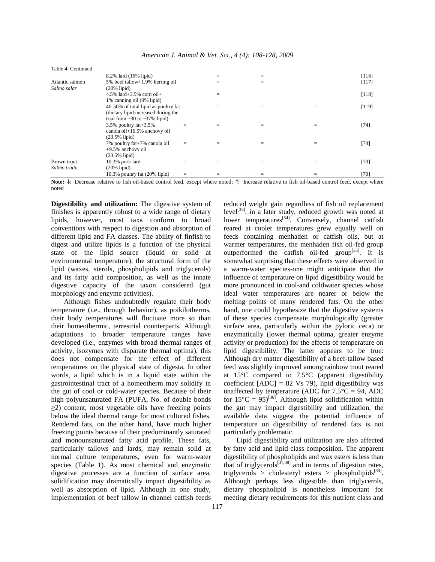| Table 4: Continued |                                           |     |     |         |
|--------------------|-------------------------------------------|-----|-----|---------|
|                    | 8.2% lard (16% lipid)                     |     | $=$ | [116]   |
| Atlantic salmon    | 5% beef tallow+1.9% herring oil           |     | $=$ | [117]   |
| Salmo salar        | $(20\%$ lipid)                            |     |     |         |
|                    | 4.5% lard+3.5% corn oil+                  |     |     | $[118]$ |
|                    | 1% canning oil (9% lipid)                 |     |     |         |
|                    | 40-50% of total lipid as poultry fat      |     | $=$ | [119]   |
|                    | (dietary lipid increased during the       |     |     |         |
|                    | trial from $\sim$ 30 to $\sim$ 37% lipid) |     |     |         |
|                    | 3.5% poultry fat+3.5%                     | $=$ | $=$ | $[74]$  |
|                    | canola oil+16.5% anchovy oil              |     |     |         |
|                    | $(23.5\%$ lipid)                          |     |     |         |
|                    | 7% poultry fat+7% canola oil              |     | $=$ | $[74]$  |
|                    | $+9.5\%$ anchovy oil                      |     |     |         |
|                    | $(23.5\%$ lipid)                          |     |     |         |
| Brown trout        | 10.3% pork lard                           |     |     | [70]    |
| Salmo trutta       | $(20\%$ lipid)                            |     |     |         |
|                    | 10.3% poultry fat (20% lipid)             | $=$ | $=$ | [70]    |

*American J. Animal & Vet. Sci., 4 (4): 108-128, 2009* 

**Note:** ↓: Decrease relative to fish oil-based control feed, except where noted; ↑: Increase relative to fish oil-based control feed, except where noted

**Digestibility and utilization:** The digestive system of finishes is apparently robust to a wide range of dietary lipids, however, most taxa conform to broad conventions with respect to digestion and absorption of different lipid and FA classes. The ability of finfish to digest and utilize lipids is a function of the physical state of the lipid source (liquid or solid at environmental temperature), the structural form of the lipid (waxes, sterols, phospholipids and triglycerols) and its fatty acid composition, as well as the innate digestive capacity of the taxon considered (gut morphology and enzyme activities).

 Although fishes undoubtedly regulate their body temperature (i.e., through behavior), as poikilotherms, their body temperatures will fluctuate more so than their homeothermic, terrestrial counterparts. Although adaptations to broader temperature ranges have developed (i.e., enzymes with broad thermal ranges of activity, isozymes with disparate thermal optima), this does not compensate for the effect of different temperatures on the physical state of digesta. In other words, a lipid which is in a liquid state within the gastrointestinal tract of a homeotherm may solidify in the gut of cool or cold-water species. Because of their high polyunsaturated FA (PUFA, No. of double bonds  $\geq$ 2) content, most vegetable oils have freezing points below the ideal thermal range for most cultured fishes. Rendered fats, on the other hand, have much higher freezing points because of their predominantly saturated and monounsaturated fatty acid profile. These fats, particularly tallows and lards, may remain solid at normal culture temperatures, even for warm-water species (Table 1). As most chemical and enzymatic digestive processes are a function of surface area, solidification may dramatically impact digestibility as well as absorption of lipid. Although in one study, implementation of beef tallow in channel catfish feeds

reduced weight gain regardless of fish oil replacement level<sup>[33]</sup>, in a later study, reduced growth was noted at lower temperatures<sup>[34]</sup>. Conversely, channel catfish reared at cooler temperatures grew equally well on feeds containing menhaden or catfish oils, but at warmer temperatures, the menhaden fish oil-fed group outperformed the catfish oil-fed group<sup>[35]</sup>. It is somewhat surprising that these effects were observed in a warm-water species-one might anticipate that the influence of temperature on lipid digestibility would be more pronounced in cool-and coldwater species whose ideal water temperatures are nearer or below the melting points of many rendered fats. On the other hand, one could hypothesize that the digestive systems of these species compensate morphologically (greater surface area, particularly within the pyloric ceca) or enzymatically (lower thermal optima, greater enzyme activity or production) for the effects of temperature on lipid digestibility. The latter appears to be true: Although dry matter digestibility of a beef-tallow based feed was slightly improved among rainbow trout reared at 15°C compared to 7.5°C (apparent digestibility coefficient  $[ADC] = 82$  Vs 79), lipid digestibility was unaffected by temperature (ADC for  $7.5^{\circ}$ C = 94, ADC for  $15^{\circ}$ C =  $95$ )<sup>[36]</sup>. Although lipid solidification within the gut may impact digestibility and utilization, the available data suggest the potential influence of temperature on digestibility of rendered fats is not particularly problematic.

 Lipid digestibility and utilization are also affected by fatty acid and lipid class composition. The apparent digestibility of phospholipids and wax esters is less than that of triglycerols $[37,38]$  and in terms of digestion rates, triglycerols > cholesteryl esters > phospholipids<sup>[39]</sup>. Although perhaps less digestible than triglycerols, dietary phospholipid is nonetheless important for meeting dietary requirements for this nutrient class and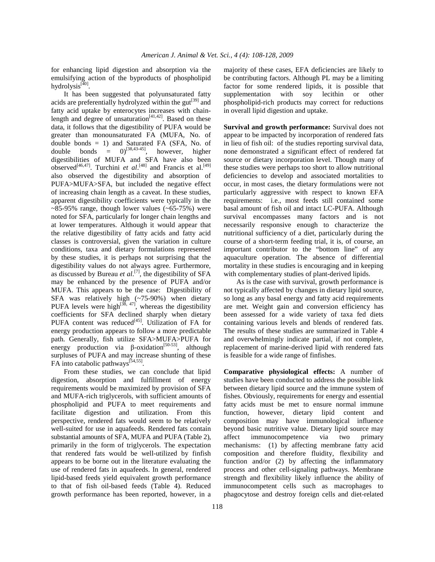for enhancing lipid digestion and absorption via the emulsifying action of the byproducts of phospholipid hydrolysis<sup>[40]</sup>.

 It has been suggested that polyunsaturated fatty acids are preferentially hydrolyzed within the  $gut^{[39]}$  and fatty acid uptake by enterocytes increases with chainlength and degree of unsaturation<sup>[41,42]</sup>. Based on these data, it follows that the digestibility of PUFA would be greater than monounsaturated FA (MUFA, No. of double bonds = 1) and Saturated FA (SFA, No. of double bonds =  $0$ <sup>[38,43-45]</sup>, however, higher digestibilities of MUFA and SFA have also been observed<sup>[46,47]</sup>. Turchini *et al.*<sup>[48]</sup> and Francis et al.<sup>[49]</sup> also observed the digestibility and absorption of PUFA>MUFA>SFA, but included the negative effect of increasing chain length as a caveat. In these studies, apparent digestibility coefficients were typically in the  $\sim$ 85-95% range, though lower values ( $\sim$ 65-75%) were noted for SFA, particularly for longer chain lengths and at lower temperatures. Although it would appear that the relative digestibility of fatty acids and fatty acid classes is controversial, given the variation in culture conditions, taxa and dietary formulations represented by these studies, it is perhaps not surprising that the digestibility values do not always agree. Furthermore, as discussed by Bureau *et al.*<sup>[7]</sup>, the digestibility of SFA may be enhanced by the presence of PUFA and/or MUFA. This appears to be the case: Digestibility of SFA was relatively high (~75-90%) when dietary PUFA levels were high<sup>[38, 47]</sup>, whereas the digestibility coefficients for SFA declined sharply when dietary PUFA content was reduced $[45]$ . Utilization of FA for energy production appears to follow a more predictable path. Generally, fish utilize SFA>MUFA>PUFA for energy production via β-oxidation<sup>[50-53]</sup>, although surpluses of PUFA and may increase shunting of these FA into catabolic pathways<sup>[54,55]</sup>.

 From these studies, we can conclude that lipid digestion, absorption and fulfillment of energy requirements would be maximized by provision of SFA and MUFA-rich triglycerols, with sufficient amounts of phospholipid and PUFA to meet requirements and facilitate digestion and utilization. From this perspective, rendered fats would seem to be relatively well-suited for use in aquafeeds. Rendered fats contain substantial amounts of SFA, MUFA and PUFA (Table 2), primarily in the form of triglycerols. The expectation that rendered fats would be well-utilized by finfish appears to be borne out in the literature evaluating the use of rendered fats in aquafeeds. In general, rendered lipid-based feeds yield equivalent growth performance to that of fish oil-based feeds (Table 4). Reduced growth performance has been reported, however, in a

majority of these cases, EFA deficiencies are likely to be contributing factors. Although PL may be a limiting factor for some rendered lipids, it is possible that supplementation with soy lecithin or other phospholipid-rich products may correct for reductions in overall lipid digestion and uptake.

**Survival and growth performance:** Survival does not appear to be impacted by incorporation of rendered fats in lieu of fish oil: of the studies reporting survival data, none demonstrated a significant effect of rendered fat source or dietary incorporation level. Though many of these studies were perhaps too short to allow nutritional deficiencies to develop and associated mortalities to occur, in most cases, the dietary formulations were not particularly aggressive with respect to known EFA requirements: i.e., most feeds still contained some basal amount of fish oil and intact LC-PUFA. Although survival encompasses many factors and is not necessarily responsive enough to characterize the nutritional sufficiency of a diet, particularly during the course of a short-term feeding trial, it is, of course, an important contributor to the "bottom line" of any aquaculture operation. The absence of differential mortality in these studies is encouraging and in keeping with complementary studies of plant-derived lipids.

 As is the case with survival, growth performance is not typically affected by changes in dietary lipid source, so long as any basal energy and fatty acid requirements are met. Weight gain and conversion efficiency has been assessed for a wide variety of taxa fed diets containing various levels and blends of rendered fats. The results of these studies are summarized in Table 4 and overwhelmingly indicate partial, if not complete, replacement of marine-derived lipid with rendered fats is feasible for a wide range of finfishes.

**Comparative physiological effects:** A number of studies have been conducted to address the possible link between dietary lipid source and the immune system of fishes. Obviously, requirements for energy and essential fatty acids must be met to ensure normal immune function, however, dietary lipid content and composition may have immunological influence beyond basic nutritive value. Dietary lipid source may affect immunocompetence via two primary mechanisms: (1) by affecting membrane fatty acid composition and therefore fluidity, flexibility and function and/or (2) by affecting the inflammatory process and other cell-signaling pathways. Membrane strength and flexibility likely influence the ability of immunocompetent cells such as macrophages to phagocytose and destroy foreign cells and diet-related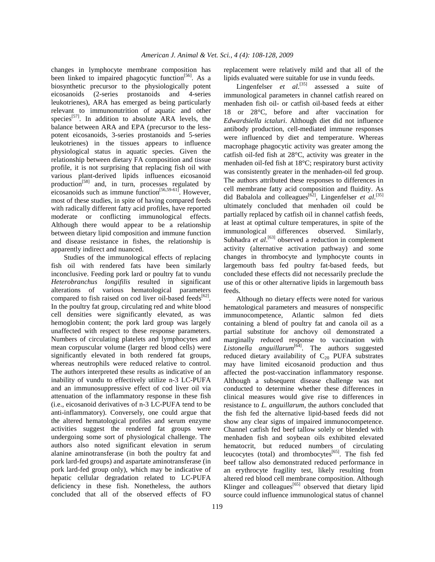changes in lymphocyte membrane composition has been linked to impaired phagocytic function<sup>[56]</sup>. As a biosynthetic precursor to the physiologically potent eicosanoids (2-series prostanoids and 4-series leukotrienes), ARA has emerged as being particularly relevant to immunonutrition of aquatic and other species<sup>[57]</sup>. In addition to absolute ARA levels, the balance between ARA and EPA (precursor to the lesspotent eicosanoids, 3-series prostanoids and 5-series leukotrienes) in the tissues appears to influence physiological status in aquatic species. Given the relationship between dietary FA composition and tissue profile, it is not surprising that replacing fish oil with various plant-derived lipids influences eicosanoid production<sup>[58]</sup> and, in turn, processes regulated by eicosanoids such as immune function<sup>[56,59-61]</sup>. However, most of these studies, in spite of having compared feeds with radically different fatty acid profiles, have reported moderate or conflicting immunological effects. Although there would appear to be a relationship between dietary lipid composition and immune function and disease resistance in fishes, the relationship is apparently indirect and nuanced.

 Studies of the immunological effects of replacing fish oil with rendered fats have been similarly inconclusive. Feeding pork lard or poultry fat to vundu *Heterobranchus longifilis* resulted in significant alterations of various hematological parameters compared to fish raised on cod liver oil-based feeds<sup>[62]</sup>. In the poultry fat group, circulating red and white blood cell densities were significantly elevated, as was hemoglobin content; the pork lard group was largely unaffected with respect to these response parameters. Numbers of circulating platelets and lymphocytes and mean corpuscular volume (larger red blood cells) were significantly elevated in both rendered fat groups, whereas neutrophils were reduced relative to control. The authors interpreted these results as indicative of an inability of vundu to effectively utilize n-3 LC-PUFA and an immunosuppressive effect of cod liver oil via attenuation of the inflammatory response in these fish (i.e., eicosanoid derivatives of n-3 LC-PUFA tend to be anti-inflammatory). Conversely, one could argue that the altered hematological profiles and serum enzyme activities suggest the rendered fat groups were undergoing some sort of physiological challenge. The authors also noted significant elevation in serum alanine aminotransferase (in both the poultry fat and pork lard-fed groups) and aspartate aminotransferase (in pork lard-fed group only), which may be indicative of hepatic cellular degradation related to LC-PUFA deficiency in these fish. Nonetheless, the authors concluded that all of the observed effects of FO

replacement were relatively mild and that all of the lipids evaluated were suitable for use in vundu feeds.

Lingenfelser *et al.*<sup>[35]</sup> assessed a suite of immunological parameters in channel catfish reared on menhaden fish oil- or catfish oil-based feeds at either 18 or 28°C, before and after vaccination for *Edwardsiella ictaluri*. Although diet did not influence antibody production, cell-mediated immune responses were influenced by diet and temperature. Whereas macrophage phagocytic activity was greater among the catfish oil-fed fish at 28°C, activity was greater in the menhaden oil-fed fish at 18°C; respiratory burst activity was consistently greater in the menhaden-oil fed group. The authors attributed these responses to differences in cell membrane fatty acid composition and fluidity. As did Babalola and colleagues<sup>[62]</sup>, Lingenfelser *et al.*<sup>[35]</sup> ultimately concluded that menhaden oil could be partially replaced by catfish oil in channel catfish feeds, at least at optimal culture temperatures, in spite of the immunological differences observed. Similarly, Subhadra *et al.*<sup>[63]</sup> observed a reduction in complement activity (alternative activation pathway) and some changes in thrombocyte and lymphocyte counts in largemouth bass fed poultry fat-based feeds, but concluded these effects did not necessarily preclude the use of this or other alternative lipids in largemouth bass feeds.

 Although no dietary effects were noted for various hematological parameters and measures of nonspecific immunocompetence, Atlantic salmon fed diets containing a blend of poultry fat and canola oil as a partial substitute for anchovy oil demonstrated a marginally reduced response to vaccination with *Listonella anguillarum*[64]. The authors suggested reduced dietary availability of  $C_{20}$  PUFA substrates may have limited eicosanoid production and thus affected the post-vaccination inflammatory response. Although a subsequent disease challenge was not conducted to determine whether these differences in clinical measures would give rise to differences in resistance to *L. anguillarum*, the authors concluded that the fish fed the alternative lipid-based feeds did not show any clear signs of impaired immunocompetence. Channel catfish fed beef tallow solely or blended with menhaden fish and soybean oils exhibited elevated hematocrit, but reduced numbers of circulating leucocytes (total) and thrombocytes<sup>[65]</sup>. The fish fed beef tallow also demonstrated reduced performance in an erythrocyte fragility test, likely resulting from altered red blood cell membrane composition. Although Klinger and colleagues<sup>[65]</sup> observed that dietary lipid source could influence immunological status of channel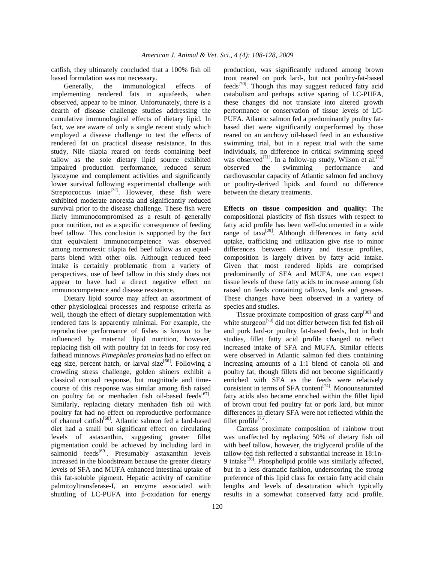catfish, they ultimately concluded that a 100% fish oil based formulation was not necessary.

 Generally, the immunological effects of implementing rendered fats in aquafeeds, when observed, appear to be minor. Unfortunately, there is a dearth of disease challenge studies addressing the cumulative immunological effects of dietary lipid. In fact, we are aware of only a single recent study which employed a disease challenge to test the effects of rendered fat on practical disease resistance. In this study, Nile tilapia reared on feeds containing beef tallow as the sole dietary lipid source exhibited impaired production performance, reduced serum lysozyme and complement activities and significantly lower survival following experimental challenge with Streptococcus iniae<sup>[32]</sup>. However, these fish were exhibited moderate anorexia and significantly reduced survival prior to the disease challenge. These fish were likely immunocompromised as a result of generally poor nutrition, not as a specific consequence of feeding beef tallow. This conclusion is supported by the fact that equivalent immunocompetence was observed among normorexic tilapia fed beef tallow as an equalparts blend with other oils. Although reduced feed intake is certainly problematic from a variety of perspectives, use of beef tallow in this study does not appear to have had a direct negative effect on immunocompetence and disease resistance.

 Dietary lipid source may affect an assortment of other physiological processes and response criteria as well, though the effect of dietary supplementation with rendered fats is apparently minimal. For example, the reproductive performance of fishes is known to be influenced by maternal lipid nutrition, however, replacing fish oil with poultry fat in feeds for rosy red fathead minnows *Pimephales promelas* had no effect on egg size, percent hatch, or larval size<sup>[66]</sup>. Following a crowding stress challenge, golden shiners exhibit a classical cortisol response, but magnitude and timecourse of this response was similar among fish raised on poultry fat or menhaden fish oil-based feeds<sup>[67]</sup>. Similarly, replacing dietary menhaden fish oil with poultry fat had no effect on reproductive performance of channel catfish[68]. Atlantic salmon fed a lard-based diet had a small but significant effect on circulating levels of astaxanthin, suggesting greater fillet pigmentation could be achieved by including lard in salmonid feeds<sup>[69]</sup>. Presumably astaxanthin levels increased in the bloodstream because the greater dietary levels of SFA and MUFA enhanced intestinal uptake of this fat-soluble pigment. Hepatic activity of carnitine palmitoyltransferase-I, an enzyme associated with shuttling of LC-PUFA into β-oxidation for energy

production, was significantly reduced among brown trout reared on pork lard-, but not poultry-fat-based feeds[70]. Though this may suggest reduced fatty acid catabolism and perhaps active sparing of LC-PUFA, these changes did not translate into altered growth performance or conservation of tissue levels of LC-PUFA. Atlantic salmon fed a predominantly poultry fatbased diet were significantly outperformed by those reared on an anchovy oil-based feed in an exhaustive swimming trial, but in a repeat trial with the same individuals, no difference in critical swimming speed was observed<sup>[71]</sup>. In a follow-up study, Wilson et al.<sup>[72]</sup> observed the swimming performance and cardiovascular capacity of Atlantic salmon fed anchovy or poultry-derived lipids and found no difference between the dietary treatments.

**Effects on tissue composition and quality:** The compositional plasticity of fish tissues with respect to fatty acid profile has been well-documented in a wide range of  $taxa^{[29]}$ . Although differences in fatty acid uptake, trafficking and utilization give rise to minor differences between dietary and tissue profiles, composition is largely driven by fatty acid intake. Given that most rendered lipids are comprised predominantly of SFA and MUFA, one can expect tissue levels of these fatty acids to increase among fish raised on feeds containing tallows, lards and greases. These changes have been observed in a variety of species and studies.

Tissue proximate composition of grass carp<sup>[30]</sup> and white sturgeon<sup>[73]</sup> did not differ between fish fed fish oil and pork lard-or poultry fat-based feeds, but in both studies, fillet fatty acid profile changed to reflect increased intake of SFA and MUFA. Similar effects were observed in Atlantic salmon fed diets containing increasing amounts of a 1:1 blend of canola oil and poultry fat, though fillets did not become significantly enriched with SFA as the feeds were relatively consistent in terms of SFA content<sup>[74]</sup>. Monounsaturated fatty acids also became enriched within the fillet lipid of brown trout fed poultry fat or pork lard, but minor differences in dietary SFA were not reflected within the fillet profile<sup>[75]</sup>.

 Carcass proximate composition of rainbow trout was unaffected by replacing 50% of dietary fish oil with beef tallow, however, the triglycerol profile of the tallow-fed fish reflected a substantial increase in 18:1n-9 intake $^{[36]}$ . Phospholipid profile was similarly affected, but in a less dramatic fashion, underscoring the strong preference of this lipid class for certain fatty acid chain lengths and levels of desaturation which typically results in a somewhat conserved fatty acid profile.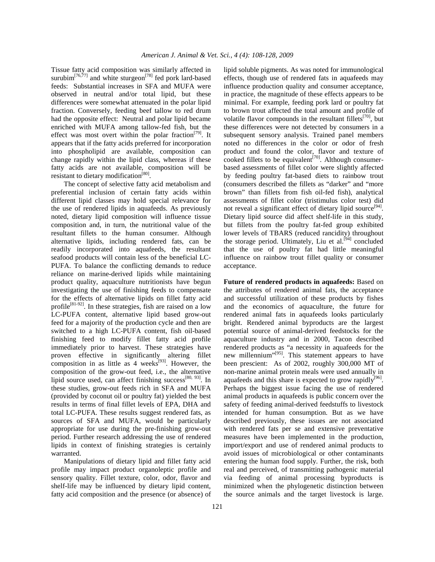Tissue fatty acid composition was similarly affected in surubim<sup>[76,77]</sup> and white sturgeon<sup>[78]</sup> fed pork lard-based feeds: Substantial increases in SFA and MUFA were observed in neutral and/or total lipid, but these differences were somewhat attenuated in the polar lipid fraction. Conversely, feeding beef tallow to red drum had the opposite effect: Neutral and polar lipid became enriched with MUFA among tallow-fed fish, but the effect was most overt within the polar fraction<sup>[79]</sup>. It appears that if the fatty acids preferred for incorporation into phospholipid are available, composition can change rapidly within the lipid class, whereas if these fatty acids are not available, composition will be resistant to dietary modification<sup>[80]</sup>.

 The concept of selective fatty acid metabolism and preferential inclusion of certain fatty acids within different lipid classes may hold special relevance for the use of rendered lipids in aquafeeds. As previously noted, dietary lipid composition will influence tissue composition and, in turn, the nutritional value of the resultant fillets to the human consumer. Although alternative lipids, including rendered fats, can be readily incorporated into aquafeeds, the resultant seafood products will contain less of the beneficial LC-PUFA. To balance the conflicting demands to reduce reliance on marine-derived lipids while maintaining product quality, aquaculture nutritionists have begun investigating the use of finishing feeds to compensate for the effects of alternative lipids on fillet fatty acid profile<sup>[81-92]</sup>. In these strategies, fish are raised on a low LC-PUFA content, alternative lipid based grow-out feed for a majority of the production cycle and then are switched to a high LC-PUFA content, fish oil-based finishing feed to modify fillet fatty acid profile immediately prior to harvest. These strategies have proven effective in significantly altering fillet composition in as little as  $4$  weeks<sup>[93]</sup>. However, the composition of the grow-out feed, i.e., the alternative lipid source used, can affect finishing success<sup>[80, 93]</sup>. In these studies, grow-out feeds rich in SFA and MUFA (provided by coconut oil or poultry fat) yielded the best results in terms of final fillet levels of EPA, DHA and total LC-PUFA. These results suggest rendered fats, as sources of SFA and MUFA, would be particularly appropriate for use during the pre-finishing grow-out period. Further research addressing the use of rendered lipids in context of finishing strategies is certainly warranted.

 Manipulations of dietary lipid and fillet fatty acid profile may impact product organoleptic profile and sensory quality. Fillet texture, color, odor, flavor and shelf-life may be influenced by dietary lipid content, fatty acid composition and the presence (or absence) of lipid soluble pigments. As was noted for immunological effects, though use of rendered fats in aquafeeds may influence production quality and consumer acceptance, in practice, the magnitude of these effects appears to be minimal. For example, feeding pork lard or poultry fat to brown trout affected the total amount and profile of volatile flavor compounds in the resultant fillets $[70]$ , but these differences were not detected by consumers in a subsequent sensory analysis. Trained panel members noted no differences in the color or odor of fresh product and found the color, flavor and texture of cooked fillets to be equivalent<sup>[70]</sup>. Although consumerbased assessments of fillet color were slightly affected by feeding poultry fat-based diets to rainbow trout (consumers described the fillets as "darker" and "more brown" than fillets from fish oil-fed fish), analytical assessments of fillet color (tristimulus color test) did not reveal a significant effect of dietary lipid source<sup>[94]</sup>. Dietary lipid source did affect shelf-life in this study, but fillets from the poultry fat-fed group exhibited lower levels of TBARS (reduced rancidity) throughout the storage period. Ultimately, Liu et al. $[94]$  concluded that the use of poultry fat had little meaningful influence on rainbow trout fillet quality or consumer acceptance.

**Future of rendered products in aquafeeds:** Based on the attributes of rendered animal fats, the acceptance and successful utilization of these products by fishes and the economics of aquaculture, the future for rendered animal fats in aquafeeds looks particularly bright. Rendered animal byproducts are the largest potential source of animal-derived feedstocks for the aquaculture industry and in 2000, Tacon described rendered products as "a necessity in aquafeeds for the new millennium"<sup>[95]</sup>. This statement appears to have been prescient: As of 2002, roughly 300,000 MT of non-marine animal protein meals were used annually in aquafeeds and this share is expected to grow rapidly<sup>[96]</sup>. Perhaps the biggest issue facing the use of rendered animal products in aquafeeds is public concern over the safety of feeding animal-derived feedstuffs to livestock intended for human consumption. But as we have described previously, these issues are not associated with rendered fats per se and extensive preventative measures have been implemented in the production, import/export and use of rendered animal products to avoid issues of microbiological or other contaminants entering the human food supply. Further, the risk, both real and perceived, of transmitting pathogenic material via feeding of animal processing byproducts is minimized when the phylogenetic distinction between the source animals and the target livestock is large.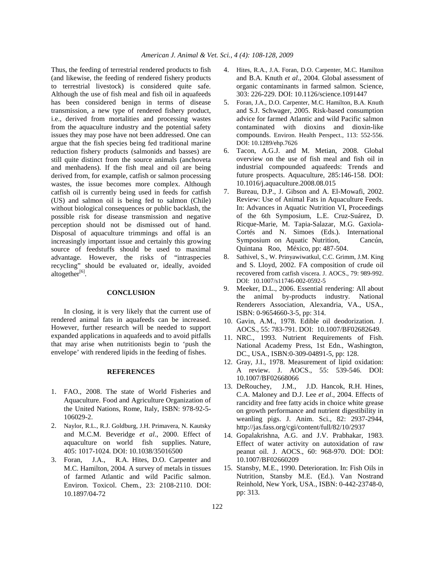Thus, the feeding of terrestrial rendered products to fish (and likewise, the feeding of rendered fishery products to terrestrial livestock) is considered quite safe. Although the use of fish meal and fish oil in aquafeeds has been considered benign in terms of disease transmission, a new type of rendered fishery product, i.e., derived from mortalities and processing wastes from the aquaculture industry and the potential safety issues they may pose have not been addressed. One can argue that the fish species being fed traditional marine reduction fishery products (salmonids and basses) are still quite distinct from the source animals (anchoveta and menhadens). If the fish meal and oil are being derived from, for example, catfish or salmon processing wastes, the issue becomes more complex. Although catfish oil is currently being used in feeds for catfish (US) and salmon oil is being fed to salmon (Chile) without biological consequences or public backlash, the possible risk for disease transmission and negative perception should not be dismissed out of hand. Disposal of aquaculture trimmings and offal is an increasingly important issue and certainly this growing source of feedstuffs should be used to maximal advantage. However, the risks of "intraspecies recycling" should be evaluated or, ideally, avoided altogether $^{[6]}$ .

#### **CONCLUSION**

 In closing, it is very likely that the current use of rendered animal fats in aquafeeds can be increased. However, further research will be needed to support expanded applications in aquafeeds and to avoid pitfalls that may arise when nutritionists begin to 'push the envelope' with rendered lipids in the feeding of fishes.

### **REFERENCES**

- 1. FAO., 2008. The state of World Fisheries and Aquaculture. Food and Agriculture Organization of the United Nations, Rome, Italy, ISBN: 978-92-5- 106029-2.
- 2. Naylor, R.L., R.J. Goldburg, J.H. Primavera, N. Kautsky and M.C.M. Beveridge *et al*., 2000. Effect of aquaculture on world fish supplies. Nature, 405: 1017-1024. DOI: 10.1038/35016500
- 3. Foran, J.A., R.A. Hites, D.O. Carpenter and M.C. Hamilton, 2004. A survey of metals in tissues of farmed Atlantic and wild Pacific salmon. Environ. Toxicol. Chem., 23: 2108-2110. DOI: 10.1897/04-72
- 4. Hites, R.A., J.A. Foran, D.O. Carpenter, M.C. Hamilton and B.A. Knuth *et al*., 2004. Global assessment of organic contaminants in farmed salmon. Science, 303: 226-229. DOI: 10.1126/science.1091447
- 5. Foran, J.A., D.O. Carpenter, M.C. Hamilton, B.A. Knuth and S.J. Schwager, 2005. Risk-based consumption advice for farmed Atlantic and wild Pacific salmon contaminated with dioxins and dioxin-like compounds. Environ. Health Perspect., 113: 552-556. DOI: 10.1289/ehp.7626
- 6. Tacon, A.G.J. and M. Metian, 2008. Global overview on the use of fish meal and fish oil in industrial compounded aquafeeds: Trends and future prospects. Aquaculture, 285:146-158. DOI: 10.1016/j.aquaculture.2008.08.015
- 7. Bureau, D.P., J. Gibson and A. El-Mowafi, 2002. Review: Use of Animal Fats in Aquaculture Feeds. In: Advances in Aquatic Nutrition VI, Proceedings of the 6th Symposium, L.E. Cruz-Suárez, D. Ricque-Marie, M. Tapia-Salazar, M.G. Gaxiola-Cortés and N. Simoes (Eds.). International Symposium on Aquatic Nutrition, Cancún, Quintana Roo, México, pp: 487-504.
- 8. Sathivel, S., W. Prinyawiwatkul, C.C. Grimm, J.M. King and S. Lloyd, 2002. FA composition of crude oil recovered from catfish viscera. J. AOCS., 79: 989-992. DOI: 10.1007/s11746-002-0592-5
- 9. Meeker, D.L., 2006. Essential rendering: All about the animal by-products industry. National Renderers Association, Alexandria, VA., USA., ISBN: 0-9654660-3-5, pp: 314.
- 10. Gavin, A.M., 1978. Edible oil deodorization. J. AOCS., 55: 783-791. DOI: 10.1007/BF02682649.
- 11. NRC., 1993. Nutrient Requirements of Fish. National Academy Press, 1st Edn., Washington, DC., USA., ISBN:0-309-04891-5, pp: 128.
- 12. Gray, J.I., 1978. Measurement of lipid oxidation: A review. J. AOCS., 55: 539-546. DOI: 10.1007/BF02668066
- 13. DeRouchey, J.M., J.D. Hancok, R.H. Hines, C.A. Maloney and D.J. Lee *et al*., 2004. Effects of rancidity and free fatty acids in choice white grease on growth performance and nutrient digestibility in weanling pigs. J. Anim. Sci., 82: 2937-2944, http://jas.fass.org/cgi/content/full/82/10/2937
- 14. Gopalakrishna, A.G. and J.V. Prabhakar, 1983. Effect of water activity on autoxidation of raw peanut oil. J. AOCS., 60: 968-970. DOI: DOI: 10.1007/BF02660209
- 15. Stansby, M.E., 1990. Deterioration. In: Fish Oils in Nutrition, Stansby M.E. (Ed.). Van Nostrand Reinhold, New York, USA., ISBN: 0-442-23748-0, pp: 313.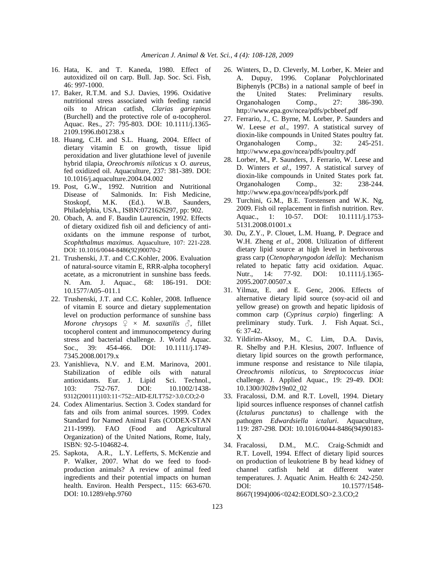- 16. Hata, K. and T. Kaneda, 1980. Effect of autoxidized oil on carp. Bull. Jap. Soc. Sci. Fish, 46: 997-1000.
- 17. Baker, R.T.M. and S.J. Davies, 1996. Oxidative nutritional stress associated with feeding rancid oils to African catfish, *Clarias gariepinus* (Burchell) and the protective role of α-tocopherol. Aquac. Res., 27: 795-803. DOI: 10.1111/j.1365- 2109.1996.tb01238.x
- 18. Huang, C.H. and S.L. Huang, 2004. Effect of dietary vitamin E on growth, tissue lipid peroxidation and liver glutathione level of juvenile hybrid tilapia, *Oreochromis niloticus* x *O. aureus,* fed oxidized oil. Aquaculture, 237: 381-389. DOI: 10.1016/j.aquaculture.2004.04.002
- 19. Post, G.W., 1992. Nutrition and Nutritional Disease of Salmonids. In: Fish Medicine, Stoskopf, M.K. (Ed.). W.B. Saunders, Philadelphia, USA., ISBN:0721626297, pp: 902.
- 20. Obach, A. and F. Baudin Laurencin, 1992. Effects of dietary oxidized fish oil and deficiency of antioxidants on the immune response of turbot, *Scophthalmus maximus*. Aquaculture, 107: 221-228. DOI: 10.1016/0044-8486(92)90070-2
- 21. Trushenski, J.T. and C.C.Kohler, 2006. Evaluation of natural-source vitamin E, RRR-alpha tocopheryl acetate, as a micronutrient in sunshine bass feeds. N. Am. J. Aquac., 68: 186-191. DOI: 10.1577/A05–011.1
- 22. Trushenski, J.T. and C.C. Kohler, 2008. Influence of vitamin E source and dietary supplementation level on production performance of sunshine bass *Morone chrysops*  $\varphi \times M$ *. saxatilis*  $\varphi$ , fillet tocopherol content and immunocompetency during stress and bacterial challenge. J. World Aquac. Soc., 39: 454-466. DOI: 10.1111/j.1749-7345.2008.00179.x
- 23. Yanishlieva, N.V. and E.M. Marinova, 2001. Stabilization of edible oils with natural antioxidants. Eur. J. Lipid Sci. Technol., 103: 752-767. DOI: 10.1002/1438- 9312(200111)103:11<752::AID-EJLT752>3.0.CO;2-0
- 24. Codex Alimentarius. Section 3. Codex standard for fats and oils from animal sources. 1999. Codex Standard for Named Animal Fats (CODEX-STAN 211-1999). FAO (Food and Agricultural Organization) of the United Nations, Rome, Italy, ISBN: 92-5-104682-4.
- 25. Sapkota, A.R., L.Y. Lefferts, S. McKenzie and P. Walker, 2007. What do we feed to foodproduction animals? A review of animal feed ingredients and their potential impacts on human health. Environ. Health Perspect., 115: 663-670. DOI: 10.1289/ehp.9760
- 26. Winters, D., D. Cleverly, M. Lorber, K. Meier and A. Dupuy, 1996. Coplanar Polychlorinated Biphenyls (PCBs) in a national sample of beef in the United States: Preliminary results. Organohalogen Comp., 27: 386-390. http://www.epa.gov/ncea/pdfs/pcbbeef.pdf
- 27. Ferrario, J., C. Byrne, M. Lorber, P. Saunders and W. Leese *et al*., 1997. A statistical survey of dioxin-like compounds in United States poultry fat. Organohalogen Comp., 32: 245-251. http://www.epa.gov/ncea/pdfs/poultry.pdf
- 28. Lorber, M., P. Saunders, J. Ferrario, W. Leese and D. Winters *et al*., 1997. A statistical survey of dioxin-like compounds in United States pork fat. Organohalogen Comp., 32: 238-244. http://www.epa.gov/ncea/pdfs/pork.pdf
- 29. Turchini, G.M., B.E. Torstensen and W.K. Ng, 2009. Fish oil replacement in finfish nutrition. Rev. Aquac., 1: 10-57. DOI: 10.1111/j.1753- 5131.2008.01001.x
- 30. Du, Z.Y., P. Clouet, L.M. Huang, P. Degrace and W.H. Zheng *et al*., 2008. Utilization of different dietary lipid source at high level in herbivorous grass carp (*Ctenopharyngodon idella*): Mechanism related to hepatic fatty acid oxidation. Aquac. Nutr., 14: 77-92. DOI: 10.1111/j.1365-2095.2007.00507.x
- 31. Yilmaz, E. and E. Genc, 2006. Effects of alternative dietary lipid source (soy-acid oil and yellow grease) on growth and hepatic lipidosis of common carp (*Cyprinus carpio*) fingerling: A preliminary study. Turk. J. Fish Aquat. Sci., 6: 37-42.
- 32. Yildirim-Aksoy, M., C. Lim, D.A. Davis, R. Shelby and P.H. Klesius, 2007. Influence of dietary lipid sources on the growth performance, immune response and resistance to Nile tilapia, *Oreochromis niloticus*, to *Streptococcus iniae* challenge. J. Applied Aquac., 19: 29-49. DOI: 10.1300/J028v19n02\_02
- 33. Fracalossi, D.M. and R.T. Lovell, 1994. Dietary lipid sources influence responses of channel catfish (*Ictalurus punctatus*) to challenge with the pathogen *Edwardsiella ictaluri*. Aquaculture, 119: 287-298. DOI: 10.1016/0044-8486(94)90183- X
- 34. Fracalossi, D.M., M.C. Craig-Schmidt and R.T. Lovell, 1994. Effect of dietary lipid sources on production of leukotriene B by head kidney of channel catfish held at different water temperatures. J. Aquatic Anim. Health 6: 242-250. DOI: 10.1577/1548-8667(1994)006<0242:EODLSO>2.3.CO;2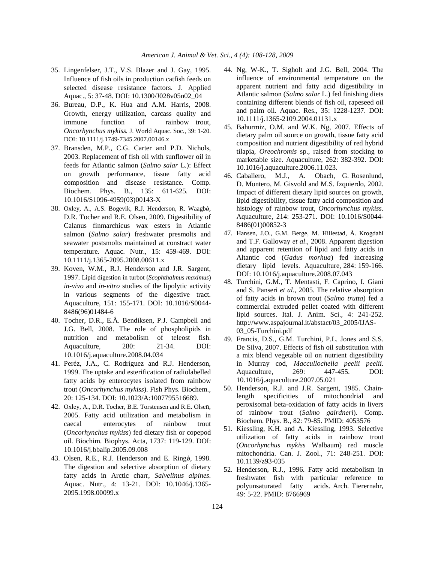- 35. Lingenfelser, J.T., V.S. Blazer and J. Gay, 1995. Influence of fish oils in production catfish feeds on selected disease resistance factors. J. Applied Aquac., 5: 37-48. DOI: 10.1300/J028v05n02\_04
- 36. Bureau, D.P., K. Hua and A.M. Harris, 2008. Growth, energy utilization, carcass quality and immune function of rainbow trout, *Oncorhynchus mykiss.* J. World Aquac. Soc., 39: 1-20. DOI: 10.1111/j.1749-7345.2007.00146.x
- 37. Bransden, M.P., C.G. Carter and P.D. Nichols, 2003. Replacement of fish oil with sunflower oil in feeds for Atlantic salmon (*Salmo salar* L.): Effect on growth performance, tissue fatty acid composition and disease resistance. Comp. Biochem. Phys. B., 135: 611-625. DOI: 10.1016/S1096-4959(03)00143-X
- 38. Oxley, A., A.S. Bogevik, R.J. Henderson, R. Waagbǿ, D.R. Tocher and R.E. Olsen, 2009. Digestibility of Calanus finmarchicus wax esters in Atlantic salmon (*Salmo salar*) freshwater presmolts and seawater postsmolts maintained at constract water temperature. Aquac. Nutr., 15: 459-469. DOI: 10.1111/j.1365-2095.2008.00611.x
- 39. Koven, W.M., R.J. Henderson and J.R. Sargent, 1997. Lipid digestion in turbot (*Scophthalmus maximus*) *in-vivo* and *in-vitro* studies of the lipolytic activity in various segments of the digestive tract. Aquaculture, 151: 155-171. DOI: 10.1016/S0044- 8486(96)01484-6
- 40. Tocher, D.R., E.Å. Bendiksen, P.J. Campbell and J.G. Bell, 2008. The role of phospholipids in nutrition and metabolism of teleost fish. Aquaculture, 280: 21-34. DOI: 10.1016/j.aquaculture.2008.04.034
- 41. Peréz, J.A., C. Rodríguez and R.J. Henderson, 1999. The uptake and esterification of radiolabelled fatty acids by enterocytes isolated from rainbow trout (*Oncorhynchus mykiss*). Fish Phys. Biochem., 20: 125-134. DOI: 10.1023/A:1007795516689.
- 42. Oxley, A., D.R. Tocher, B.E. Torstensen and R.E. Olsen, 2005. Fatty acid utilization and metabolism in caecal enterocytes of rainbow trout (*Oncorhynchus mykiss*) fed dietary fish or copepod oil. Biochim. Biophys. Acta, 1737: 119-129. DOI: 10.1016/j.bbalip.2005.09.008
- 43. Olsen, R.E., R.J. Henderson and E. Ringø, 1998. The digestion and selective absorption of dietary fatty acids in Arctic charr, *Salvelinus alpines*. Aquac. Nutr., 4: 13-21. DOI: 10.1046/j.1365- 2095.1998.00099.x
- 44. Ng, W-K., T. Sigholt and J.G. Bell, 2004. The influence of environmental temperature on the apparent nutrient and fatty acid digestibility in Atlantic salmon (*Salmo salar* L.) fed finishing diets containing different blends of fish oil, rapeseed oil and palm oil. Aquac. Res., 35: 1228-1237. DOI: 10.1111/j.1365-2109.2004.01131.x
- 45. Bahurmiz, O.M. and W.K. Ng, 2007. Effects of dietary palm oil source on growth, tissue fatty acid composition and nutrient digestibility of red hybrid tilapia, *Oreochromis* sp., raised from stocking to marketable size. Aquaculture, 262: 382-392. DOI: 10.1016/j.aquaculture.2006.11.023.
- 46. Caballero, M.J., A. Obach, G. Rosenlund, D. Montero, M. Gisvold and M.S. Izquierdo, 2002. Impact of different dietary lipid sources on growth, lipid digestibility, tissue fatty acid composition and histology of rainbow trout, *Oncorhynchus mykiss*. Aquaculture, 214: 253-271. DOI: 10.1016/S0044- 8486(01)00852-3
- 47. Hansen, J.O., G.M. Berge, M. Hillestad, Å. Krogdahl and T.F. Galloway *et al*., 2008. Apparent digestion and apparent retention of lipid and fatty acids in Altantic cod (*Gadus morhua*) fed increasing dietary lipid levels. Aquaculture, 284: 159-166. DOI: 10.1016/j.aquaculture.2008.07.043
- 48. Turchini, G.M., T. Mentasti, F. Caprino, I. Giani and S. Panseri *et al*., 2005. The relative absorption of fatty acids in brown trout (*Salmo trutta*) fed a commercial extruded pellet coated with different lipid sources. Ital. J. Anim. Sci., 4: 241-252. http://www.aspajournal.it/abstact/03\_2005/IJAS-03\_05-Turchini.pdf
- 49. Francis, D.S., G.M. Turchini, P.L. Jones and S.S. De Silva, 2007. Effects of fish oil substitution with a mix blend vegetable oil on nutrient digestibility in Murray cod, *Maccullochella peelii peelii*. Aquaculture, 269: 447-455. DOI: 10.1016/j.aquaculture.2007.05.021
- 50. Henderson, R.J. and J.R. Sargent, 1985. Chainlength specificities of mitochondrial and peroxisomal beta-oxidation of fatty acids in livers of rainbow trout (*Salmo gairdneri*). Comp. Biochem. Phys. B., 82: 79-85. PMID: 4053576
- 51. Kiessling, K.H. and A. Kiessling, 1993. Selective utilization of fatty acids in rainbow trout (*Oncorhynchus mykiss* Walbaum) red muscle mitochondria. Can. J. Zool., 71: 248-251. DOI: 10.1139/z93-035
- 52. Henderson, R.J., 1996. Fatty acid metabolism in freshwater fish with particular reference to polyunsaturated fatty acids. Arch. Tierernahr, 49: 5-22. PMID: 8766969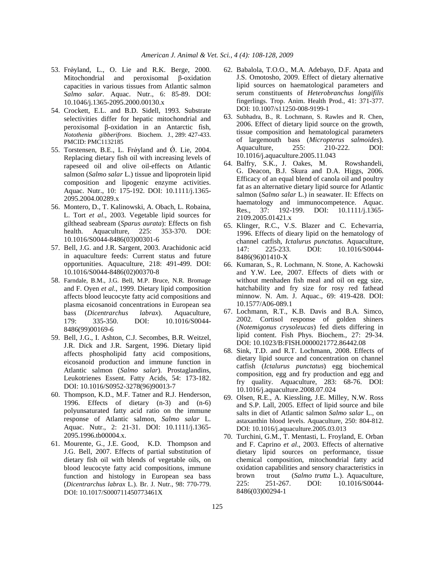- 53. Frǿyland, L., O. Lie and R.K. Berge, 2000. Mitochondrial and peroxisomal β-oxidation capacities in various tissues from Atlantic salmon *Salmo salar*. Aquac. Nutr., 6: 85-89. DOI: 10.1046/j.1365-2095.2000.00130.x
- 54. Crockett, E.L. and B.D. Sidell, 1993. Substrate selectivities differ for hepatic mitochondrial and peroxisomal β-oxidation in an Antarctic fish, *Notothenia gibberifrons*. Biochem. J., 289: 427-433. PMCID: PMC1132185
- 55. Torstensen, B.E., L. Frøyland and  $\hat{O}$ . Lie, 2004. Replacing dietary fish oil with increasing levels of rapeseed oil and olive oil-effects on Atlantic salmon (*Salmo salar* L.) tissue and lipoprotein lipid composition and lipogenic enzyme activities. Aquac. Nutr., 10: 175-192. DOI: 10.1111/j.1365- 2095.2004.00289.x
- 56. Montero, D., T. Kalinowski, A. Obach, L. Robaina, L. Tort *et al*., 2003. Vegetable lipid sources for gilthead seabream (*Sparus aurata*): Effects on fish health. Aquaculture, 225: 353-370. DOI: 10.1016/S0044-8486(03)00301-6
- 57. Bell, J.G. and J.R. Sargent, 2003. Arachidonic acid in aquaculture feeds: Current status and future opportunities. Aquaculture, 218: 491-499. DOI: 10.1016/S0044-8486(02)00370-8
- 58. Farndale, B.M., J.G. Bell, M.P. Bruce, N.R. Bromage and F. Oyen *et al*., 1999. Dietary lipid composition affects blood leucocyte fatty acid compositions and plasma eicosanoid concentrations in European sea bass (*Dicentrarchus labrax*). Aquaculture, 179: 335-350. DOI: 10.1016/S0044- 8486(99)00169-6
- 59. Bell, J.G., I. Ashton, C.J. Secombes, B.R. Weitzel, J.R. Dick and J.R. Sargent, 1996. Dietary lipid affects phospholipid fatty acid compositions, eicosanoid production and immune function in Atlantic salmon (*Salmo salar*). Prostaglandins, Leukotrienes Essent. Fatty Acids, 54: 173-182. DOI: 10.1016/S0952-3278(96)90013-7
- 60. Thompson, K.D., M.F. Tatner and R.J. Henderson, 1996. Effects of dietary (n-3) and (n-6) polyunsaturated fatty acid ratio on the immune response of Atlantic salmon, *Salmo salar* L. Aquac. Nutr., 2: 21-31. DOI: 10.1111/j.1365- 2095.1996.tb00004.x.
- 61. Mourente, G., J.E. Good, K.D. Thompson and J.G. Bell, 2007. Effects of partial substitution of dietary fish oil with blends of vegetable oils, on blood leucocyte fatty acid compositions, immune function and histology in European sea bass (*Dicentrarchus labrax* L.). Br. J. Nutr., 98: 770-779. DOI: 10.1017/S000711450773461X
- 62. Babalola, T.O.O., M.A. Adebayo, D.F. Apata and J.S. Omotosho, 2009. Effect of dietary alternative lipid sources on haematological parameters and serum constituents of *Heterobranchus longifilis* fingerlings. Trop. Anim. Health Prod., 41: 371-377. DOI: 10.1007/s11250-008-9199-1
- 63. Subhadra, B., R. Lochmann, S. Rawles and R. Chen, 2006. Effect of dietary lipid source on the growth, tissue composition and hematological parameters of largemouth bass (*Micropterus salmoides*). Aquaculture, 255: 210-222. DOI: 10.1016/j.aquaculture.2005.11.043
- 64. Balfry, S.K., J. Oakes, M. Rowshandeli, G. Deacon, B.J. Skura and D.A. Higgs, 2006. Efficacy of an equal blend of canola oil and poultry fat as an alternative dietary lipid source for Atlantic salmon (*Salmo salar* L.) in seawater. II: Effects on haematology and immunocompetence. Aquac. Res., 37: 192-199. DOI: 10.1111/j.1365- 2109.2005.01421.x
- 65. Klinger, R.C., V.S. Blazer and C. Echevarria, 1996. Effects of dieary lipid on the hematology of channel catfish, *Ictalurus punctatus*. Aquaculture, 147: 225-233. DOI: 10.1016/S0044- 8486(96)01410-X
- 66. Kumaran, S., R. Lochmann, N. Stone, A. Kachowski and Y.W. Lee, 2007. Effects of diets with or without menhaden fish meal and oil on egg size, hatchability and fry size for rosy red fathead minnow. N. Am. J. Aquac., 69: 419-428. DOI: 10.1577/A06-089.1
- 67. Lochmann, R.T., K.B. Davis and B.A. Simco, 2002. Cortisol response of golden shiners (*Notemigonus crysoleucas*) fed diets differing in lipid content. Fish Phys. Biochem., 27: 29-34. DOI: 10.1023/B:FISH.0000021772.86442.08
- 68. Sink, T.D. and R.T. Lochmann, 2008. Effects of dietary lipid source and concentration on channel catfish (*Ictalurus punctatus*) egg biochemical composition, egg and fry production and egg and fry quality. Aquaculture, 283: 68-76. DOI: 10.1016/j.aquaculture.2008.07.024
- 69. Olsen, R.E., A. Kiessling, J.E. Milley, N.W. Ross and S.P. Lall, 2005. Effect of lipid source and bile salts in diet of Atlantic salmon *Salmo salar* L., on astaxanthin blood levels. Aquaculture, 250: 804-812. DOI: 10.1016/j.aquaculture.2005.03.013
- 70. Turchini, G.M., T. Mentasti, L. Froyland, E. Orban and F. Caprino *et al*., 2003. Effects of alternative dietary lipid sources on performance, tissue chemical composition, mitochondrial fatty acid oxidation capabilities and sensory characteristics in brown trout (*Salmo trutta* L.). Aquaculture, 225: 251-267. DOI: 10.1016/S0044- 8486(03)00294-1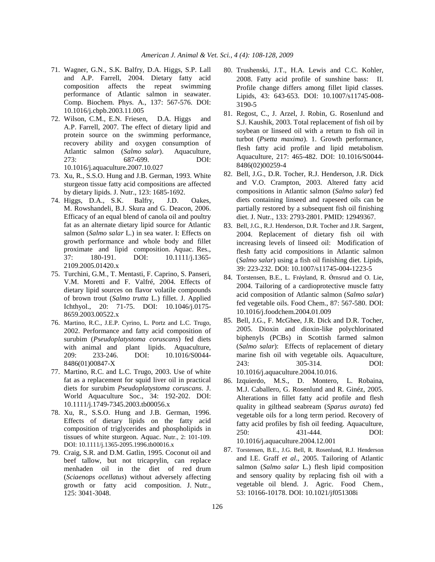- 71. Wagner, G.N., S.K. Balfry, D.A. Higgs, S.P. Lall and A.P. Farrell, 2004. Dietary fatty acid composition affects the repeat swimming performance of Atlantic salmon in seawater. Comp. Biochem. Phys. A., 137: 567-576. DOI: 10.1016/j.cbpb.2003.11.005
- 72. Wilson, C.M., E.N. Friesen, D.A. Higgs and A.P. Farrell, 2007. The effect of dietary lipid and protein source on the swimming performance, recovery ability and oxygen consumption of Atlantic salmon (*Salmo salar*). Aquaculture, 273: 687-699. DOI: 10.1016/j.aquaculture.2007.10.027
- 73. Xu, R., S.S.O. Hung and J.B. German, 1993. White sturgeon tissue fatty acid compositions are affected by dietary lipids. J. Nutr., 123: 1685-1692.
- 74. Higgs, D.A., S.K. Balfry, J.D. Oakes, M. Rowshandeli, B.J. Skura and G. Deacon, 2006. Efficacy of an equal blend of canola oil and poultry fat as an alternate dietary lipid source for Atlantic salmon (*Salmo salar* L.) in sea water. I: Effects on growth performance and whole body and fillet proximate and lipid composition. Aquac. Res., 37: 180-191. DOI: 10.1111/j.1365- 2109.2005.01420.x
- 75. Turchini, G.M., T. Mentasti, F. Caprino, S. Panseri, V.M. Moretti and F. Valfré, 2004. Effects of dietary lipid sources on flavor volatile compounds of brown trout (*Salmo trutta* L.) fillet. J. Applied Ichthyol., 20: 71-75. DOI: 10.1046/j.0175- 8659.2003.00522.x
- 76. Martino, R.C., J.E.P. Cyrino, L. Portz and L.C. Trugo, 2002. Performance and fatty acid composition of surubim (*Pseudoplatystoma coruscans*) fed diets with animal and plant lipids. Aquaculture, 209: 233-246. DOI: 10.1016/S0044- 8486(01)00847-X
- 77. Martino, R.C. and L.C. Trugo, 2003. Use of white fat as a replacement for squid liver oil in practical diets for surubim *Pseudoplatystoma coruscans*. J. World Aquaculture Soc., 34: 192-202. DOI: 10.1111/j.1749-7345.2003.tb00056.x
- 78. Xu, R., S.S.O. Hung and J.B. German, 1996. Effects of dietary lipids on the fatty acid composition of triglycerides and phospholipids in tissues of white sturgeon. Aquac. Nutr., 2: 101-109. DOI: 10.1111/j.1365-2095.1996.tb00016.x
- 79. Craig, S.R. and D.M. Gatlin, 1995. Coconut oil and beef tallow, but not tricaprylin, can replace menhaden oil in the diet of red drum (*Sciaenops ocellatus*) without adversely affecting growth or fatty acid composition. J. Nutr., 125: 3041-3048.
- 80. Trushenski, J.T., H.A. Lewis and C.C. Kohler, 2008. Fatty acid profile of sunshine bass: II. Profile change differs among fillet lipid classes. Lipids, 43: 643-653. DOI: 10.1007/s11745-008- 3190-5
- 81. Regost, C., J. Arzel, J. Robin, G. Rosenlund and S.J. Kaushik, 2003. Total replacement of fish oil by soybean or linseed oil with a return to fish oil in turbot (*Psetta maxima*). 1. Growth performance, flesh fatty acid profile and lipid metabolism. Aquaculture, 217: 465-482. DOI: 10.1016/S0044- 8486(02)00259-4
- 82. Bell, J.G., D.R. Tocher, R.J. Henderson, J.R. Dick and V.O. Crampton, 2003. Altered fatty acid compositions in Atlantic salmon (*Salmo salar*) fed diets containing linseed and rapeseed oils can be partially restored by a subsequent fish oil finishing diet. J. Nutr., 133: 2793-2801. PMID: 12949367.
- 83. Bell, J.G., R.J. Henderson, D.R. Tocher and J.R. Sargent, 2004. Replacement of dietary fish oil with increasing levels of linseed oil: Modification of flesh fatty acid compositions in Atlantic salmon (*Salmo salar*) using a fish oil finishing diet. Lipids, 39: 223-232. DOI: 10.1007/s11745-004-1223-5
- 84. Torstensen, B.E., L. Frøyland, R. Ørnsrud and O. Lie, 2004. Tailoring of a cardioprotective muscle fatty acid composition of Atlantic salmon (*Salmo salar*) fed vegetable oils. Food Chem., 87: 567-580. DOI: 10.1016/j.foodchem.2004.01.009
- 85. Bell, J.G., F. McGhee, J.R. Dick and D.R. Tocher, 2005. Dioxin and dioxin-like polychlorinated biphenyls (PCBs) in Scottish farmed salmon (*Salmo salar*): Effects of replacement of dietary marine fish oil with vegetable oils. Aquaculture, 243: 305-314. DOI: 10.1016/j.aquaculture.2004.10.016.
- 86. Izquierdo, M.S., D. Montero, L. Robaina, M.J. Caballero, G. Rosenlund and R. Ginéz, 2005. Alterations in fillet fatty acid profile and flesh quality in gilthead seabream (*Sparus aurata*) fed vegetable oils for a long term period. Recovery of fatty acid profiles by fish oil feeding. Aquaculture, 250: 431-444. DOI: 10.1016/j.aquaculture.2004.12.001
- 87. Torstensen, B.E., J.G. Bell, R. Rosenlund, R.J. Henderson and I.E. Graff *et al*., 2005. Tailoring of Atlantic salmon (*Salmo salar* L.) flesh lipid composition and sensory quality by replacing fish oil with a vegetable oil blend. J. Agric. Food Chem., 53: 10166-10178. DOI: 10.1021/jf051308i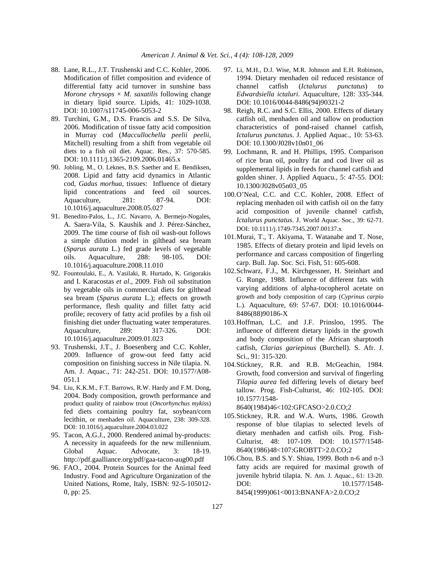- 88. Lane, R.L., J.T. Trushenski and C.C. Kohler, 2006. Modification of fillet composition and evidence of differential fatty acid turnover in sunshine bass *Morone chrysops*  $\times$  *M. saxatilis* following change in dietary lipid source. Lipids, 41: 1029-1038. DOI: 10.1007/s11745-006-5053-2
- 89. Turchini, G.M., D.S. Francis and S.S. De Silva, 2006. Modification of tissue fatty acid composition in Murray cod (*Maccullochella peelii peelii*, Mitchell) resulting from a shift from vegetable oil diets to a fish oil diet. Aquac. Res., 37: 570-585. DOI: 10.1111/j.1365-2109.2006.01465.x
- 90. Jobling, M., O. Leknes, B.S. Saether and E. Bendiksen, 2008. Lipid and fatty acid dynamics in Atlantic cod, *Gadus morhua*, tissues: Influence of dietary lipid concentrations and feed oil sources. Aquaculture, 281: 87-94. DOI: 10.1016/j.aquaculture.2008.05.027
- 91. Benedito-Palos, L., J.C. Navarro, A. Bermejo-Nogales, A. Saera-Vila, S. Kaushik and J. Pérez-Sánchez, 2009. The time course of fish oil wash-out follows a simple dilution model in gilthead sea bream (*Sparus aurata* L.) fed grade levels of vegetable oils. Aquaculture, 288: 98-105. DOI: 10.1016/j.aquaculture.2008.11.010
- 92. Fountoulaki, E., A. Vasilaki, R. Hurtado, K. Grigorakis and I. Karacostas *et al*., 2009. Fish oil substitution by vegetable oils in commercial diets for gilthead sea bream (*Sparus aurata* L.); effects on growth performance, flesh quality and fillet fatty acid profile; recovery of fatty acid profiles by a fish oil finishing diet under fluctuating water temperatures. Aquaculture, 289: 317-326. DOI: 10.1016/j.aquaculture.2009.01.023
- 93. Trushenski, J.T., J. Boesenberg and C.C. Kohler, 2009. Influence of grow-out feed fatty acid composition on finishing success in Nile tilapia. N. Am. J. Aquac., 71: 242-251. DOI: 10.1577/A08- 051.1
- 94. Liu, K.K.M., F.T. Barrows, R.W. Hardy and F.M. Dong, 2004. Body composition, growth performance and product quality of rainbow trout (*Oncorhynchus mykis*s) fed diets containing poultry fat, soybean/corn lecithin, or menhaden oil. Aquaculture, 238: 309-328. DOI: 10.1016/j.aquaculture.2004.03.022
- 95. Tacon, A.G.J., 2000. Rendered animal by-products: A necessity in aquafeeds for the new millennium. Global Aquac. Advocate, 3: 18-19. http://pdf.gaalliance.org/pdf/gaa-tacon-aug00.pdf
- 96. FAO., 2004. Protein Sources for the Animal feed Industry. Food and Agriculture Organization of the United Nations, Rome, Italy, ISBN: 92-5-105012- 0, pp: 25.
- 97. Li, M.H., D.J. Wise, M.R. Johnson and E.H. Robinson, 1994. Dietary menhaden oil reduced resistance of channel catfish (*Ictalurus punctatus*) to *Edwardsiella ictaluri*. Aquaculture, 128: 335-344. DOI: 10.1016/0044-8486(94)90321-2
- 98. Reigh, R.C. and S.C. Ellis, 2000. Effects of dietary catfish oil, menhaden oil and tallow on production characteristics of pond-raised channel catfish, *Ictalurus punctatus*. J. Applied Aquac., 10: 53-63. DOI: 10.1300/J028v10n01\_06
- 99. Lochmann, R. and H. Phillips, 1995. Comparison of rice bran oil, poultry fat and cod liver oil as supplemental lipids in feeds for channel catfish and golden shiner. J. Applied Aquacu., 5: 47-55. DOI: 10.1300/J028v05n03\_05
- 100. O'Neal, C.C. and C.C. Kohler, 2008. Effect of replacing menhaden oil with catfish oil on the fatty acid composition of juvenile channel catfish, *Ictalurus punctatus*. J. World Aquac. Soc., 39: 62-71. DOI: 10.1111/j.1749-7345.2007.00137.x
- 101. Murai, T., T. Akiyama, T. Watanabe and T. Nose, 1985. Effects of dietary protein and lipid levels on performance and carcass composition of fingerling carp. Bull. Jap. Soc. Sci. Fish, 51: 605-608.
- 102. Schwarz, F.J., M. Kirchgessner, H. Steinhart and G. Runge, 1988. Influence of different fats with varying additions of alpha-tocopherol acetate on growth and body composition of carp (*Cyprinus carpio* L.). Aquaculture, 69: 57-67. DOI: 10.1016/0044- 8486(88)90186-X
- 103. Hoffman, L.C. and J.F. Prinsloo, 1995. The influence of different dietary lipids in the growth and body composition of the African sharptooth catfish, *Clarias gariepinus* (Burchell). S. Afr. J. Sci., 91: 315-320.
- 104. Stickney, R.R. and R.B. McGeachin, 1984. Growth, food conversion and survival of fingerling *Tilapia aurea* fed differing levels of dietary beef tallow. Prog. Fish-Culturist, 46: 102-105. DOI: 10.1577/1548-

8640(1984)46<102:GFCASO>2.0.CO;2

- 105. Stickney, R.R. and W.A. Wurts, 1986. Growth response of blue tilapias to selected levels of dietary menhaden and catfish oils. Prog. Fish-Culturist, 48: 107-109. DOI: 10.1577/1548- 8640(1986)48<107:GROBTT>2.0.CO;2
- 106. Chou, B.S. and S.Y. Shiau, 1999. Both n-6 and n-3 fatty acids are required for maximal growth of juvenile hybrid tilapia. N. Am. J. Aquac., 61: 13-20. DOI: 10.1577/1548-8454(1999)061<0013:BNANFA>2.0.CO;2